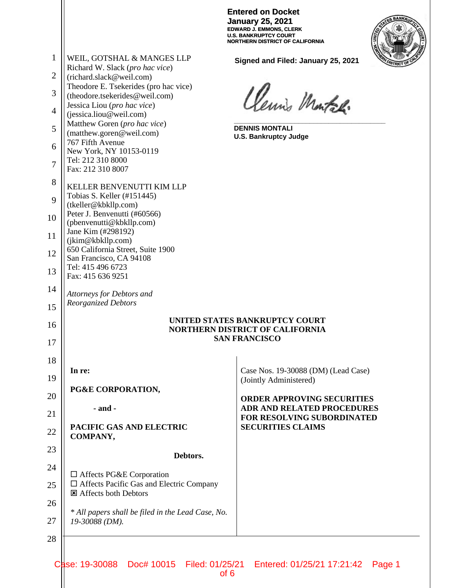|                |                                                                                                  | <b>Entered on Docket</b><br><b>January 25, 2021</b><br><b>EDWARD J. EMMONS, CLERK</b><br><b>U.S. BANKRUPTCY COURT</b><br><b>NORTHERN DISTRICT OF CALIFORNIA</b> |
|----------------|--------------------------------------------------------------------------------------------------|-----------------------------------------------------------------------------------------------------------------------------------------------------------------|
| $\mathbf{1}$   | WEIL, GOTSHAL & MANGES LLP<br>Richard W. Slack (pro hac vice)                                    | Signed and Filed: January 25, 2021                                                                                                                              |
| $\overline{2}$ | (richard.slack@weil.com)                                                                         |                                                                                                                                                                 |
| 3              | Theodore E. Tsekerides (pro hac vice)<br>(theodore.tsekerides@weil.com)                          | Clemis Montal.                                                                                                                                                  |
| 4              | Jessica Liou (pro hac vice)<br>(jessica.liou@weil.com)                                           |                                                                                                                                                                 |
| 5              | Matthew Goren (pro hac vice)<br>(matthew.goren@weil.com)                                         | <b>DENNIS MONTALI</b>                                                                                                                                           |
| 6              | 767 Fifth Avenue                                                                                 | <b>U.S. Bankruptcy Judge</b>                                                                                                                                    |
| $\overline{7}$ | New York, NY 10153-0119<br>Tel: 212 310 8000<br>Fax: 212 310 8007                                |                                                                                                                                                                 |
| 8              | KELLER BENVENUTTI KIM LLP                                                                        |                                                                                                                                                                 |
| 9              | Tobias S. Keller (#151445)<br>(tkeller@kbkllp.com)                                               |                                                                                                                                                                 |
| 10             | Peter J. Benvenutti (#60566)<br>(pbenvenutti@kbkllp.com)                                         |                                                                                                                                                                 |
| 11             | Jane Kim (#298192)<br>(jkim@kbkllp.com)                                                          |                                                                                                                                                                 |
| 12             | 650 California Street, Suite 1900<br>San Francisco, CA 94108                                     |                                                                                                                                                                 |
| 13             | Tel: 415 496 6723<br>Fax: 415 636 9251                                                           |                                                                                                                                                                 |
| 14             | Attorneys for Debtors and                                                                        |                                                                                                                                                                 |
| 15             | <b>Reorganized Debtors</b>                                                                       |                                                                                                                                                                 |
| 16             | UNITED STATES BANKRUPTCY COURT<br><b>NORTHERN DISTRICT OF CALIFORNIA</b><br><b>SAN FRANCISCO</b> |                                                                                                                                                                 |
| 17             |                                                                                                  |                                                                                                                                                                 |
| 18             | In re:                                                                                           | Case Nos. 19-30088 (DM) (Lead Case)                                                                                                                             |
| 19             | PG&E CORPORATION,                                                                                | (Jointly Administered)                                                                                                                                          |
| 20             |                                                                                                  | <b>ORDER APPROVING SECURITIES</b>                                                                                                                               |
| 21             | $-$ and $-$                                                                                      | <b>ADR AND RELATED PROCEDURES</b><br><b>FOR RESOLVING SUBORDINATED</b>                                                                                          |
| 22             | PACIFIC GAS AND ELECTRIC<br>COMPANY,                                                             | <b>SECURITIES CLAIMS</b>                                                                                                                                        |
| 23             | Debtors.                                                                                         |                                                                                                                                                                 |
| 24             | $\Box$ Affects PG&E Corporation                                                                  |                                                                                                                                                                 |
| 25             | $\Box$ Affects Pacific Gas and Electric Company<br><b>E</b> Affects both Debtors                 |                                                                                                                                                                 |
| 26             |                                                                                                  |                                                                                                                                                                 |
| 27             | * All papers shall be filed in the Lead Case, No.<br>19-30088 (DM).                              |                                                                                                                                                                 |
| 28             |                                                                                                  |                                                                                                                                                                 |
|                |                                                                                                  |                                                                                                                                                                 |

Case: 19-30088 Doc# 10015 Filed: 01/25/21 Entered: 01/25/21 17:21:42 Page 1 of 6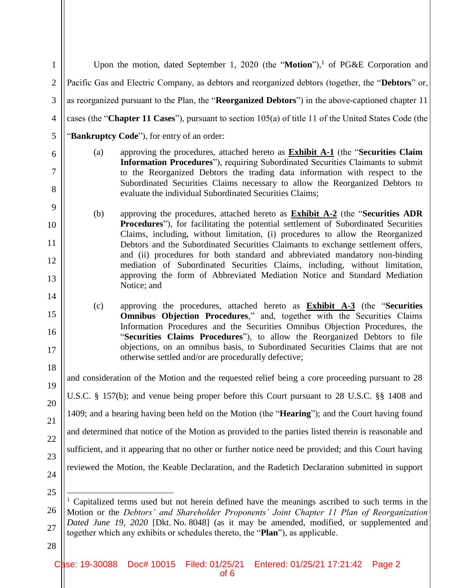| $\mathbf{1}$   |                                                                                                                                                                                                              | Upon the motion, dated September 1, 2020 (the "Motion"), <sup>1</sup> of PG&E Corporation and                                                                                                                                                     |  |
|----------------|--------------------------------------------------------------------------------------------------------------------------------------------------------------------------------------------------------------|---------------------------------------------------------------------------------------------------------------------------------------------------------------------------------------------------------------------------------------------------|--|
| $\overline{2}$ | Pacific Gas and Electric Company, as debtors and reorganized debtors (together, the "Debtors" or,                                                                                                            |                                                                                                                                                                                                                                                   |  |
| 3              | as reorganized pursuant to the Plan, the "Reorganized Debtors") in the above-captioned chapter 11                                                                                                            |                                                                                                                                                                                                                                                   |  |
| $\overline{4}$ |                                                                                                                                                                                                              | cases (the "Chapter 11 Cases"), pursuant to section 105(a) of title 11 of the United States Code (the                                                                                                                                             |  |
| 5              |                                                                                                                                                                                                              | "Bankruptcy Code"), for entry of an order:                                                                                                                                                                                                        |  |
| 6              | (a)                                                                                                                                                                                                          | approving the procedures, attached hereto as <b>Exhibit A-1</b> (the "Securities Claim<br>Information Procedures"), requiring Subordinated Securities Claimants to submit                                                                         |  |
| $\tau$         |                                                                                                                                                                                                              | to the Reorganized Debtors the trading data information with respect to the<br>Subordinated Securities Claims necessary to allow the Reorganized Debtors to                                                                                       |  |
| 8              |                                                                                                                                                                                                              | evaluate the individual Subordinated Securities Claims;                                                                                                                                                                                           |  |
| 9<br>10        | (b)                                                                                                                                                                                                          | approving the procedures, attached hereto as <b>Exhibit A-2</b> (the "Securities ADR<br><b>Procedures</b> "), for facilitating the potential settlement of Subordinated Securities                                                                |  |
| 11             |                                                                                                                                                                                                              | Claims, including, without limitation, (i) procedures to allow the Reorganized<br>Debtors and the Subordinated Securities Claimants to exchange settlement offers,                                                                                |  |
| 12             |                                                                                                                                                                                                              | and (ii) procedures for both standard and abbreviated mandatory non-binding<br>mediation of Subordinated Securities Claims, including, without limitation,                                                                                        |  |
| 13             |                                                                                                                                                                                                              | approving the form of Abbreviated Mediation Notice and Standard Mediation<br>Notice; and                                                                                                                                                          |  |
| 14             |                                                                                                                                                                                                              |                                                                                                                                                                                                                                                   |  |
| 15             | (c)                                                                                                                                                                                                          | approving the procedures, attached hereto as <b>Exhibit A-3</b> (the "Securities<br><b>Omnibus Objection Procedures,"</b> and, together with the Securities Claims<br>Information Procedures and the Securities Omnibus Objection Procedures, the |  |
| 16<br>17       |                                                                                                                                                                                                              | "Securities Claims Procedures"), to allow the Reorganized Debtors to file<br>objections, on an omnibus basis, to Subordinated Securities Claims that are not                                                                                      |  |
| 18             |                                                                                                                                                                                                              | otherwise settled and/or are procedurally defective;                                                                                                                                                                                              |  |
| 19             | and consideration of the Motion and the requested relief being a core proceeding pursuant to 28                                                                                                              |                                                                                                                                                                                                                                                   |  |
| 20             | U.S.C. § 157(b); and venue being proper before this Court pursuant to 28 U.S.C. §§ 1408 and                                                                                                                  |                                                                                                                                                                                                                                                   |  |
| 21             | 1409; and a hearing having been held on the Motion (the "Hearing"); and the Court having found                                                                                                               |                                                                                                                                                                                                                                                   |  |
| 22             | and determined that notice of the Motion as provided to the parties listed therein is reasonable and<br>sufficient, and it appearing that no other or further notice need be provided; and this Court having |                                                                                                                                                                                                                                                   |  |
| 23             |                                                                                                                                                                                                              |                                                                                                                                                                                                                                                   |  |
| 24             |                                                                                                                                                                                                              | reviewed the Motion, the Keable Declaration, and the Radetich Declaration submitted in support                                                                                                                                                    |  |
| 25             |                                                                                                                                                                                                              |                                                                                                                                                                                                                                                   |  |
| 26             |                                                                                                                                                                                                              | <sup>1</sup> Capitalized terms used but not herein defined have the meanings ascribed to such terms in the<br>Motion or the Debtors' and Shareholder Proponents' Joint Chapter 11 Plan of Reorganization                                          |  |
| 27             | Dated June 19, 2020 [Dkt. No. 8048] (as it may be amended, modified, or supplemented and<br>together which any exhibits or schedules thereto, the "Plan"), as applicable.                                    |                                                                                                                                                                                                                                                   |  |
| 28             |                                                                                                                                                                                                              |                                                                                                                                                                                                                                                   |  |

of 6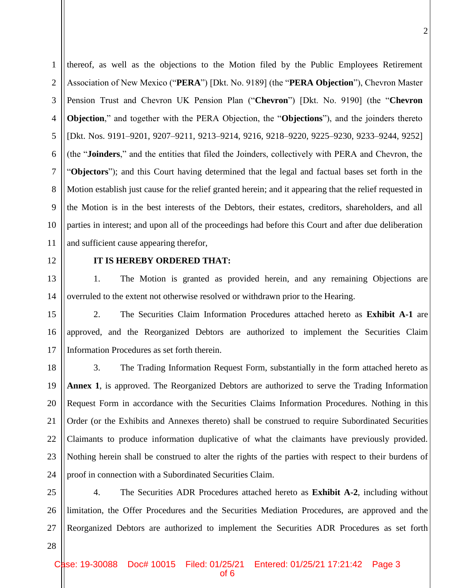1 2 3 4 5 6 7 8 9 10 11 thereof, as well as the objections to the Motion filed by the Public Employees Retirement Association of New Mexico ("**PERA**") [Dkt. No. 9189] (the "**PERA Objection**"), Chevron Master Pension Trust and Chevron UK Pension Plan ("**Chevron**") [Dkt. No. 9190] (the "**Chevron Objection**," and together with the PERA Objection, the "**Objections**"), and the joinders thereto [Dkt. Nos. 9191–9201, 9207–9211, 9213–9214, 9216, 9218–9220, 9225–9230, 9233–9244, 9252] (the "**Joinders**," and the entities that filed the Joinders, collectively with PERA and Chevron, the "**Objectors**"); and this Court having determined that the legal and factual bases set forth in the Motion establish just cause for the relief granted herein; and it appearing that the relief requested in the Motion is in the best interests of the Debtors, their estates, creditors, shareholders, and all parties in interest; and upon all of the proceedings had before this Court and after due deliberation and sufficient cause appearing therefor,

12

#### **IT IS HEREBY ORDERED THAT:**

13 14 1. The Motion is granted as provided herein, and any remaining Objections are overruled to the extent not otherwise resolved or withdrawn prior to the Hearing.

15 16 17 2. The Securities Claim Information Procedures attached hereto as **Exhibit A-1** are approved, and the Reorganized Debtors are authorized to implement the Securities Claim Information Procedures as set forth therein.

18 19 20 21 22 23 24 3. The Trading Information Request Form, substantially in the form attached hereto as **Annex 1**, is approved. The Reorganized Debtors are authorized to serve the Trading Information Request Form in accordance with the Securities Claims Information Procedures. Nothing in this Order (or the Exhibits and Annexes thereto) shall be construed to require Subordinated Securities Claimants to produce information duplicative of what the claimants have previously provided. Nothing herein shall be construed to alter the rights of the parties with respect to their burdens of proof in connection with a Subordinated Securities Claim.

25 26 27 4. The Securities ADR Procedures attached hereto as **Exhibit A-2**, including without limitation, the Offer Procedures and the Securities Mediation Procedures, are approved and the Reorganized Debtors are authorized to implement the Securities ADR Procedures as set forth

28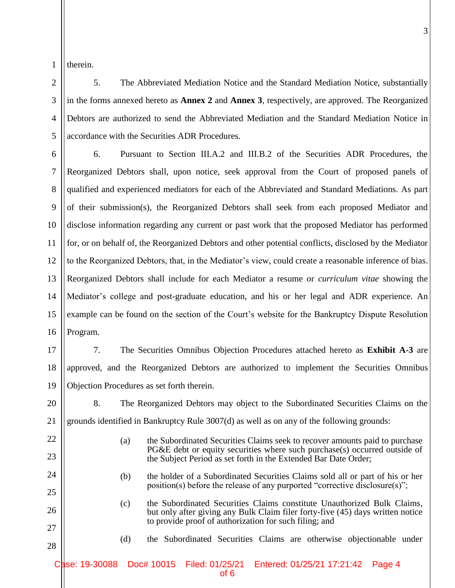2

3

4

5

therein.

5. The Abbreviated Mediation Notice and the Standard Mediation Notice, substantially in the forms annexed hereto as **Annex 2** and **Annex 3**, respectively, are approved. The Reorganized Debtors are authorized to send the Abbreviated Mediation and the Standard Mediation Notice in accordance with the Securities ADR Procedures.

6 7 8 9 10 11 12 13 14 15 16 6. Pursuant to Section III.A.2 and III.B.2 of the Securities ADR Procedures, the Reorganized Debtors shall, upon notice, seek approval from the Court of proposed panels of qualified and experienced mediators for each of the Abbreviated and Standard Mediations. As part of their submission(s), the Reorganized Debtors shall seek from each proposed Mediator and disclose information regarding any current or past work that the proposed Mediator has performed for, or on behalf of, the Reorganized Debtors and other potential conflicts, disclosed by the Mediator to the Reorganized Debtors, that, in the Mediator's view, could create a reasonable inference of bias. Reorganized Debtors shall include for each Mediator a resume or *curriculum vitae* showing the Mediator's college and post-graduate education, and his or her legal and ADR experience. An example can be found on the section of the Court's website for the Bankruptcy Dispute Resolution Program.

17

18 19 7. The Securities Omnibus Objection Procedures attached hereto as **Exhibit A-3** are approved, and the Reorganized Debtors are authorized to implement the Securities Omnibus Objection Procedures as set forth therein.

20

21

22

23

24

25

26

8. The Reorganized Debtors may object to the Subordinated Securities Claims on the grounds identified in Bankruptcy Rule 3007(d) as well as on any of the following grounds:

- (a) the Subordinated Securities Claims seek to recover amounts paid to purchase PG&E debt or equity securities where such purchase(s) occurred outside of the Subject Period as set forth in the Extended Bar Date Order;
- (b) the holder of a Subordinated Securities Claims sold all or part of his or her position(s) before the release of any purported "corrective disclosure(s)";
- (c) the Subordinated Securities Claims constitute Unauthorized Bulk Claims, but only after giving any Bulk Claim filer forty-five (45) days written notice to provide proof of authorization for such filing; and
- 27 28
- (d) the Subordinated Securities Claims are otherwise objectionable under

Case: 19-30088 Doc# 10015 Filed: 01/25/21 Entered: 01/25/21 17:21:42 Page 4 of 6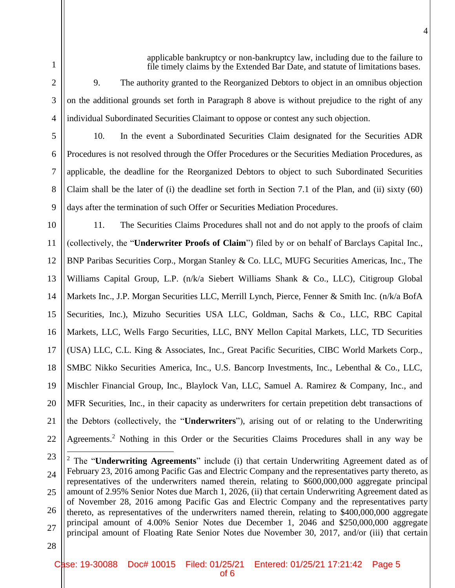applicable bankruptcy or non-bankruptcy law, including due to the failure to file timely claims by the Extended Bar Date, and statute of limitations bases.

4

2

3

4

6

7

8

9

1

9. The authority granted to the Reorganized Debtors to object in an omnibus objection on the additional grounds set forth in Paragraph 8 above is without prejudice to the right of any individual Subordinated Securities Claimant to oppose or contest any such objection.

5

10. In the event a Subordinated Securities Claim designated for the Securities ADR Procedures is not resolved through the Offer Procedures or the Securities Mediation Procedures, as applicable, the deadline for the Reorganized Debtors to object to such Subordinated Securities Claim shall be the later of (i) the deadline set forth in Section 7.1 of the Plan, and (ii) sixty (60) days after the termination of such Offer or Securities Mediation Procedures.

10 11 12 13 14 15 16 17 18 19 20 21 22 11. The Securities Claims Procedures shall not and do not apply to the proofs of claim (collectively, the "**Underwriter Proofs of Claim**") filed by or on behalf of Barclays Capital Inc., BNP Paribas Securities Corp., Morgan Stanley & Co. LLC, MUFG Securities Americas, Inc., The Williams Capital Group, L.P. (n/k/a Siebert Williams Shank & Co., LLC), Citigroup Global Markets Inc., J.P. Morgan Securities LLC, Merrill Lynch, Pierce, Fenner & Smith Inc. (n/k/a BofA Securities, Inc.), Mizuho Securities USA LLC, Goldman, Sachs & Co., LLC, RBC Capital Markets, LLC, Wells Fargo Securities, LLC, BNY Mellon Capital Markets, LLC, TD Securities (USA) LLC, C.L. King & Associates, Inc., Great Pacific Securities, CIBC World Markets Corp., SMBC Nikko Securities America, Inc., U.S. Bancorp Investments, Inc., Lebenthal & Co., LLC, Mischler Financial Group, Inc., Blaylock Van, LLC, Samuel A. Ramirez & Company, Inc., and MFR Securities, Inc., in their capacity as underwriters for certain prepetition debt transactions of the Debtors (collectively, the "**Underwriters**"), arising out of or relating to the Underwriting Agreements. <sup>2</sup> Nothing in this Order or the Securities Claims Procedures shall in any way be

 $\overline{a}$ 

<sup>23</sup> 24 25 26 27 <sup>2</sup> The "**Underwriting Agreements**" include (i) that certain Underwriting Agreement dated as of February 23, 2016 among Pacific Gas and Electric Company and the representatives party thereto, as representatives of the underwriters named therein, relating to \$600,000,000 aggregate principal amount of 2.95% Senior Notes due March 1, 2026, (ii) that certain Underwriting Agreement dated as of November 28, 2016 among Pacific Gas and Electric Company and the representatives party thereto, as representatives of the underwriters named therein, relating to \$400,000,000 aggregate principal amount of 4.00% Senior Notes due December 1, 2046 and \$250,000,000 aggregate principal amount of Floating Rate Senior Notes due November 30, 2017, and/or (iii) that certain

<sup>28</sup>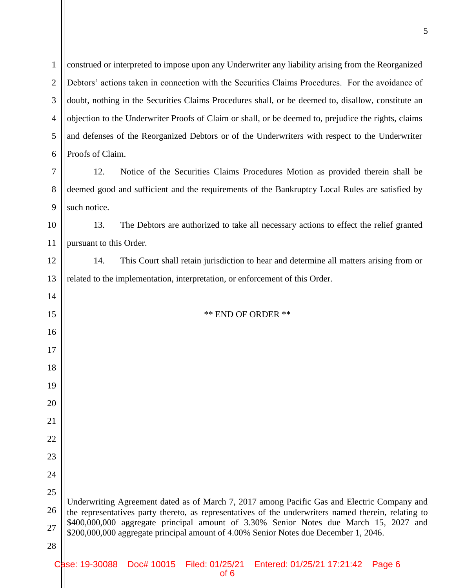| $\mathbf{1}$   | construed or interpreted to impose upon any Underwriter any liability arising from the Reorganized                                                                            |  |
|----------------|-------------------------------------------------------------------------------------------------------------------------------------------------------------------------------|--|
| $\overline{2}$ | Debtors' actions taken in connection with the Securities Claims Procedures. For the avoidance of                                                                              |  |
| 3              | doubt, nothing in the Securities Claims Procedures shall, or be deemed to, disallow, constitute an                                                                            |  |
| $\overline{4}$ | objection to the Underwriter Proofs of Claim or shall, or be deemed to, prejudice the rights, claims                                                                          |  |
| 5              | and defenses of the Reorganized Debtors or of the Underwriters with respect to the Underwriter                                                                                |  |
| 6              | Proofs of Claim.                                                                                                                                                              |  |
| 7              | Notice of the Securities Claims Procedures Motion as provided therein shall be<br>12.                                                                                         |  |
| 8              | deemed good and sufficient and the requirements of the Bankruptcy Local Rules are satisfied by                                                                                |  |
| 9              | such notice.                                                                                                                                                                  |  |
| 10             | The Debtors are authorized to take all necessary actions to effect the relief granted<br>13.                                                                                  |  |
| 11             | pursuant to this Order.                                                                                                                                                       |  |
| 12             | This Court shall retain jurisdiction to hear and determine all matters arising from or<br>14.                                                                                 |  |
| 13             | related to the implementation, interpretation, or enforcement of this Order.                                                                                                  |  |
| 14             |                                                                                                                                                                               |  |
| 15             | <b>** END OF ORDER **</b>                                                                                                                                                     |  |
| 16             |                                                                                                                                                                               |  |
| 17             |                                                                                                                                                                               |  |
| 18             |                                                                                                                                                                               |  |
| 19             |                                                                                                                                                                               |  |
| 20             |                                                                                                                                                                               |  |
| 21             |                                                                                                                                                                               |  |
| 22             |                                                                                                                                                                               |  |
| 23             |                                                                                                                                                                               |  |
| 24             |                                                                                                                                                                               |  |
| 25             | Underwriting Agreement dated as of March 7, 2017 among Pacific Gas and Electric Company and                                                                                   |  |
| 26             | the representatives party thereto, as representatives of the underwriters named therein, relating to                                                                          |  |
| 27             | \$400,000,000 aggregate principal amount of 3.30% Senior Notes due March 15, 2027 and<br>\$200,000,000 aggregate principal amount of 4.00% Senior Notes due December 1, 2046. |  |
| 28             |                                                                                                                                                                               |  |
|                | ase: 19-30088<br>Doc# 10015 Filed: 01/25/21 Entered: 01/25/21 17:21:42<br>Page 6                                                                                              |  |

of 6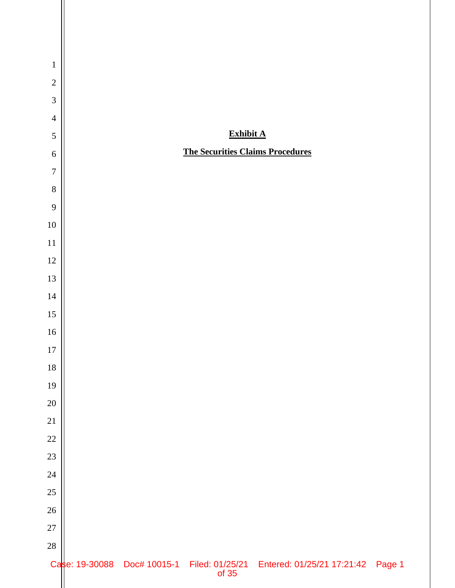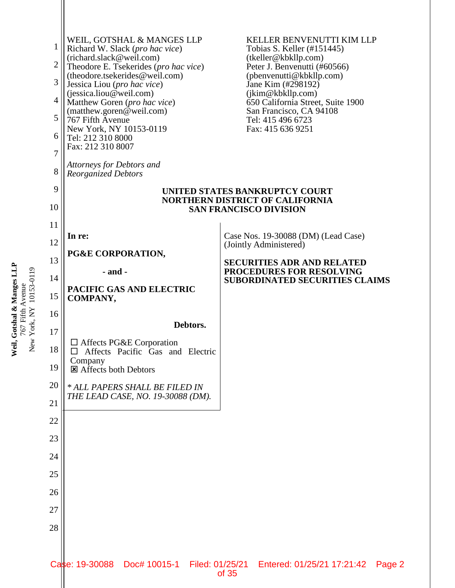

Weil, Gotshal & Manges LLP **Weil, Gotshal & Manges LLP** 767 Fifth Avenue<br>New York, NY 10153-0119 New York, NY 10153-0119 767 Fifth Avenue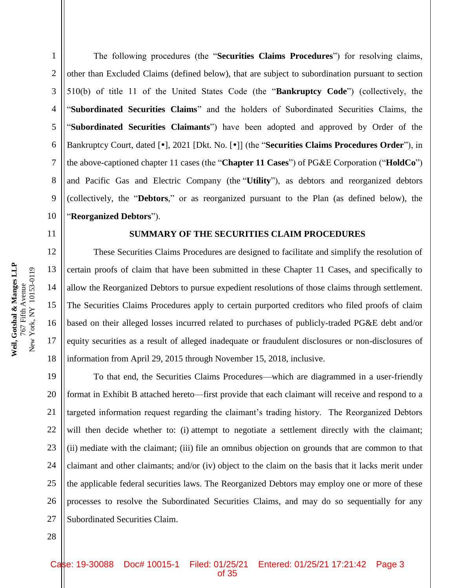2

3

4

5

6

7

8

9

10

14

15

16

17

18

The following procedures (the "**Securities Claims Procedures**") for resolving claims, other than Excluded Claims (defined below), that are subject to subordination pursuant to section 510(b) of title 11 of the United States Code (the "**Bankruptcy Code**") (collectively, the "**Subordinated Securities Claims**" and the holders of Subordinated Securities Claims, the "**Subordinated Securities Claimants**") have been adopted and approved by Order of the Bankruptcy Court, dated [ $\bullet$ ], 2021 [Dkt. No. [ $\bullet$ ]] (the "**Securities Claims Procedures Order**"), in the above-captioned chapter 11 cases (the "**Chapter 11 Cases**") of PG&E Corporation ("**HoldCo**") and Pacific Gas and Electric Company (the "**Utility**"), as debtors and reorganized debtors (collectively, the "**Debtors**," or as reorganized pursuant to the Plan (as defined below), the "**Reorganized Debtors**").

### **SUMMARY OF THE SECURITIES CLAIM PROCEDURES**

These Securities Claims Procedures are designed to facilitate and simplify the resolution of certain proofs of claim that have been submitted in these Chapter 11 Cases, and specifically to allow the Reorganized Debtors to pursue expedient resolutions of those claims through settlement. The Securities Claims Procedures apply to certain purported creditors who filed proofs of claim based on their alleged losses incurred related to purchases of publicly-traded PG&E debt and/or equity securities as a result of alleged inadequate or fraudulent disclosures or non-disclosures of information from April 29, 2015 through November 15, 2018, inclusive.

19 20 21 22 23 24 25 26 27 To that end, the Securities Claims Procedures—which are diagrammed in a user-friendly format in Exhibit B attached hereto—first provide that each claimant will receive and respond to a targeted information request regarding the claimant's trading history. The Reorganized Debtors will then decide whether to: (i) attempt to negotiate a settlement directly with the claimant; (ii) mediate with the claimant; (iii) file an omnibus objection on grounds that are common to that claimant and other claimants; and/or (iv) object to the claim on the basis that it lacks merit under the applicable federal securities laws. The Reorganized Debtors may employ one or more of these processes to resolve the Subordinated Securities Claims, and may do so sequentially for any Subordinated Securities Claim.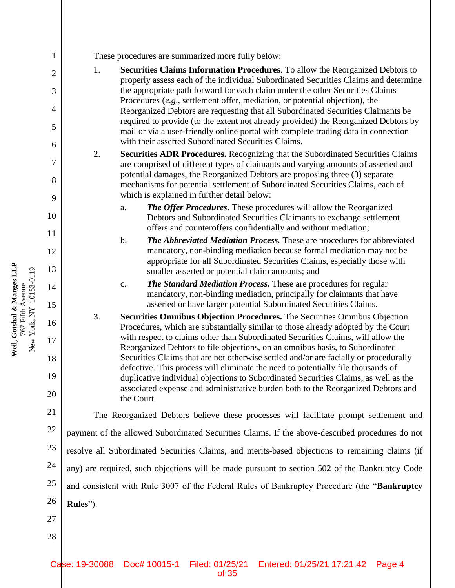**Weil, Gotshal & Manges LLP** 767 Fifth Avenue New York, NY 10153-0119

New York, NY 10153-0119 767 Fifth Avenue

Weil, Gotshal & Manges LLP

1

These procedures are summarized more fully below:

- 1. **Securities Claims Information Procedures**. To allow the Reorganized Debtors to properly assess each of the individual Subordinated Securities Claims and determine the appropriate path forward for each claim under the other Securities Claims Procedures (*e.g*., settlement offer, mediation, or potential objection), the Reorganized Debtors are requesting that all Subordinated Securities Claimants be required to provide (to the extent not already provided) the Reorganized Debtors by mail or via a user-friendly online portal with complete trading data in connection with their asserted Subordinated Securities Claims.
- 2. **Securities ADR Procedures.** Recognizing that the Subordinated Securities Claims are comprised of different types of claimants and varying amounts of asserted and potential damages, the Reorganized Debtors are proposing three (3) separate mechanisms for potential settlement of Subordinated Securities Claims, each of which is explained in further detail below:
	- a. *The Offer Procedures*. These procedures will allow the Reorganized Debtors and Subordinated Securities Claimants to exchange settlement offers and counteroffers confidentially and without mediation;
	- b. *The Abbreviated Mediation Process.* These are procedures for abbreviated mandatory, non-binding mediation because formal mediation may not be appropriate for all Subordinated Securities Claims, especially those with smaller asserted or potential claim amounts; and
	- c. *The Standard Mediation Process.* These are procedures for regular mandatory, non-binding mediation, principally for claimants that have asserted or have larger potential Subordinated Securities Claims.
- 3. **Securities Omnibus Objection Procedures.** The Securities Omnibus Objection Procedures, which are substantially similar to those already adopted by the Court with respect to claims other than Subordinated Securities Claims, will allow the Reorganized Debtors to file objections, on an omnibus basis, to Subordinated Securities Claims that are not otherwise settled and/or are facially or procedurally defective. This process will eliminate the need to potentially file thousands of duplicative individual objections to Subordinated Securities Claims, as well as the associated expense and administrative burden both to the Reorganized Debtors and the Court.

The Reorganized Debtors believe these processes will facilitate prompt settlement and payment of the allowed Subordinated Securities Claims. If the above-described procedures do not resolve all Subordinated Securities Claims, and merits-based objections to remaining claims (if any) are required, such objections will be made pursuant to section 502 of the Bankruptcy Code and consistent with Rule 3007 of the Federal Rules of Bankruptcy Procedure (the "**Bankruptcy Rules**").

27 28

24

25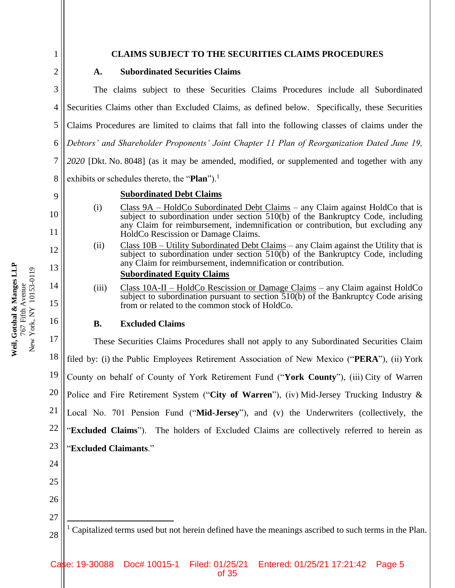# **CLAIMS SUBJECT TO THE SECURITIES CLAIMS PROCEDURES**

2

9

10

11

12

13

14

15

16

25

26

1

# **A. Subordinated Securities Claims**

3 4 5 6 7 8 The claims subject to these Securities Claims Procedures include all Subordinated Securities Claims other than Excluded Claims, as defined below. Specifically, these Securities Claims Procedures are limited to claims that fall into the following classes of claims under the *Debtors' and Shareholder Proponents' Joint Chapter 11 Plan of Reorganization Dated June 19, 2020* [Dkt. No. 8048] (as it may be amended, modified, or supplemented and together with any exhibits or schedules thereto, the "**Plan**").<sup>1</sup>

### **Subordinated Debt Claims**

- (i) Class  $9A -$  HoldCo Subordinated Debt Claims any Claim against HoldCo that is subject to subordination under section  $510(b)$  of the Bankruptcy Code, including any Claim for reimbursement, indemnification or contribution, but excluding any HoldCo Rescission or Damage Claims.
- (ii) Class  $10B Utility$  Subordinated Debt Claims any Claim against the Utility that is subject to subordination under section  $510(b)$  of the Bankruptcy Code, including any Claim for reimbursement, indemnification or contribution.

# **Subordinated Equity Claims**

(iii) Class 10A-II – HoldCo Rescission or Damage Claims – any Claim against HoldCo subject to subordination pursuant to section 510(b) of the Bankruptcy Code arising from or related to the common stock of HoldCo.

### **B. Excluded Claims**

17 18 19 20 21 22 23 24 These Securities Claims Procedures shall not apply to any Subordinated Securities Claim filed by: (i) the Public Employees Retirement Association of New Mexico ("**PERA**"), (ii) York County on behalf of County of York Retirement Fund ("**York County**"), (iii) City of Warren Police and Fire Retirement System ("**City of Warren**"), (iv) Mid-Jersey Trucking Industry & Local No. 701 Pension Fund ("**Mid-Jersey**"), and (v) the Underwriters (collectively, the "**Excluded Claims**"). The holders of Excluded Claims are collectively referred to herein as "**Excluded Claimants**."

27 28  $\overline{a}$ <sup>1</sup> Capitalized terms used but not herein defined have the meanings ascribed to such terms in the Plan.

**Weil, Gotshal & Manges LLP** Weil, Gotshal & Manges LLP New York, NY 10153-0119 New York, NY 10153-0119 767 Fifth Avenue 767 Fifth Avenue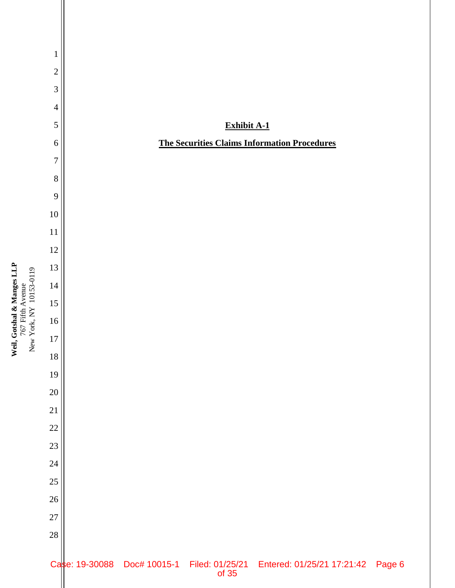

Weil, Gotshal & Manges LLP<br>767 Fifth Avenue<br>New York, NY 10153-0119 **Weil, Gotshal & Manges LLP** New York, NY 10153-0119 767 Fifth Avenue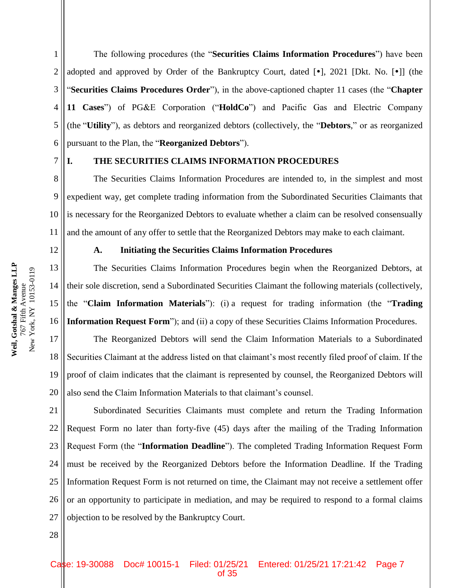1 2 3 4 5 6 The following procedures (the "**Securities Claims Information Procedures**") have been adopted and approved by Order of the Bankruptcy Court, dated  $[\bullet]$ , 2021 [Dkt. No.  $[\bullet]$ ] (the "**Securities Claims Procedures Order**"), in the above-captioned chapter 11 cases (the "**Chapter 11 Cases**") of PG&E Corporation ("**HoldCo**") and Pacific Gas and Electric Company (the "**Utility**"), as debtors and reorganized debtors (collectively, the "**Debtors**," or as reorganized pursuant to the Plan, the "**Reorganized Debtors**").

7

## **I. THE SECURITIES CLAIMS INFORMATION PROCEDURES**

8 9 10 11 The Securities Claims Information Procedures are intended to, in the simplest and most expedient way, get complete trading information from the Subordinated Securities Claimants that is necessary for the Reorganized Debtors to evaluate whether a claim can be resolved consensually and the amount of any offer to settle that the Reorganized Debtors may make to each claimant.

12

28

#### **A. Initiating the Securities Claims Information Procedures**

13 14 15 16 The Securities Claims Information Procedures begin when the Reorganized Debtors, at their sole discretion, send a Subordinated Securities Claimant the following materials (collectively, the "**Claim Information Materials**"): (i) a request for trading information (the "**Trading Information Request Form**"); and (ii) a copy of these Securities Claims Information Procedures.

17 18 19 20 The Reorganized Debtors will send the Claim Information Materials to a Subordinated Securities Claimant at the address listed on that claimant's most recently filed proof of claim. If the proof of claim indicates that the claimant is represented by counsel, the Reorganized Debtors will also send the Claim Information Materials to that claimant's counsel.

21 22 23 24 25 26 27 Subordinated Securities Claimants must complete and return the Trading Information Request Form no later than forty-five (45) days after the mailing of the Trading Information Request Form (the "**Information Deadline**"). The completed Trading Information Request Form must be received by the Reorganized Debtors before the Information Deadline. If the Trading Information Request Form is not returned on time, the Claimant may not receive a settlement offer or an opportunity to participate in mediation, and may be required to respond to a formal claims objection to be resolved by the Bankruptcy Court.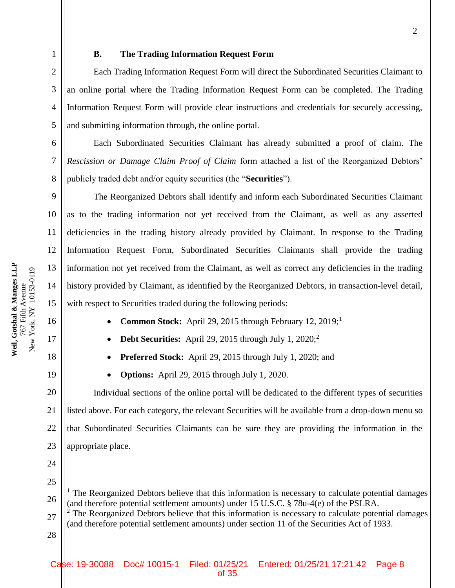5

6

7

8

9

10

11

12

13

14

15

16

17

18

19

## **B. The Trading Information Request Form**

Each Trading Information Request Form will direct the Subordinated Securities Claimant to an online portal where the Trading Information Request Form can be completed. The Trading Information Request Form will provide clear instructions and credentials for securely accessing, and submitting information through, the online portal.

Each Subordinated Securities Claimant has already submitted a proof of claim. The *Rescission or Damage Claim Proof of Claim* form attached a list of the Reorganized Debtors' publicly traded debt and/or equity securities (the "**Securities**").

The Reorganized Debtors shall identify and inform each Subordinated Securities Claimant as to the trading information not yet received from the Claimant, as well as any asserted deficiencies in the trading history already provided by Claimant. In response to the Trading Information Request Form, Subordinated Securities Claimants shall provide the trading information not yet received from the Claimant, as well as correct any deficiencies in the trading history provided by Claimant, as identified by the Reorganized Debtors, in transaction-level detail, with respect to Securities traded during the following periods:

- **Common Stock:** April 29, 2015 through February 12, 2019;<sup>1</sup>
- **Debt Securities:** April 29, 2015 through July 1, 2020;<sup>2</sup>
- **Preferred Stock:** April 29, 2015 through July 1, 2020; and
- **Options:** April 29, 2015 through July 1, 2020.

20 21 22 23 Individual sections of the online portal will be dedicated to the different types of securities listed above. For each category, the relevant Securities will be available from a drop-down menu so that Subordinated Securities Claimants can be sure they are providing the information in the appropriate place.

- 24 25
- 26

 $\overline{a}$ 

<sup>&</sup>lt;sup>1</sup> The Reorganized Debtors believe that this information is necessary to calculate potential damages (and therefore potential settlement amounts) under 15 U.S.C. § 78u-4(e) of the PSLRA.

<sup>27</sup> 28  $2$  The Reorganized Debtors believe that this information is necessary to calculate potential damages (and therefore potential settlement amounts) under section 11 of the Securities Act of 1933.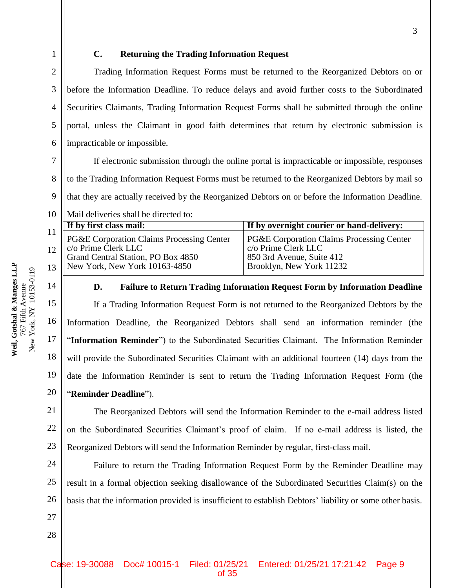4

5

6

# **C. Returning the Trading Information Request**

Trading Information Request Forms must be returned to the Reorganized Debtors on or before the Information Deadline. To reduce delays and avoid further costs to the Subordinated Securities Claimants, Trading Information Request Forms shall be submitted through the online portal, unless the Claimant in good faith determines that return by electronic submission is impracticable or impossible.

7 8 9 10 If electronic submission through the online portal is impracticable or impossible, responses to the Trading Information Request Forms must be returned to the Reorganized Debtors by mail so that they are actually received by the Reorganized Debtors on or before the Information Deadline. Mail deliveries shall be directed to:

| <b>If by first class mail:</b>                                                                                                               | If by overnight courier or hand-delivery:                                                                                            |
|----------------------------------------------------------------------------------------------------------------------------------------------|--------------------------------------------------------------------------------------------------------------------------------------|
| PG&E Corporation Claims Processing Center<br>12 Colembus Clerk LLC<br>Grand Central Station, PO Box 4850<br>13 New York, New York 10163-4850 | <b>PG&amp;E Corporation Claims Processing Center</b><br>c/o Prime Clerk LLC<br>850 3rd Avenue, Suite 412<br>Brooklyn, New York 11232 |

14

15

16

17

18

19

20

28

# **D. Failure to Return Trading Information Request Form by Information Deadline**

If a Trading Information Request Form is not returned to the Reorganized Debtors by the Information Deadline, the Reorganized Debtors shall send an information reminder (the "**Information Reminder**") to the Subordinated Securities Claimant. The Information Reminder will provide the Subordinated Securities Claimant with an additional fourteen (14) days from the date the Information Reminder is sent to return the Trading Information Request Form (the "**Reminder Deadline**").

21 22 23 The Reorganized Debtors will send the Information Reminder to the e-mail address listed on the Subordinated Securities Claimant's proof of claim. If no e-mail address is listed, the Reorganized Debtors will send the Information Reminder by regular, first-class mail.

24 25 26 27 Failure to return the Trading Information Request Form by the Reminder Deadline may result in a formal objection seeking disallowance of the Subordinated Securities Claim(s) on the basis that the information provided is insufficient to establish Debtors' liability or some other basis.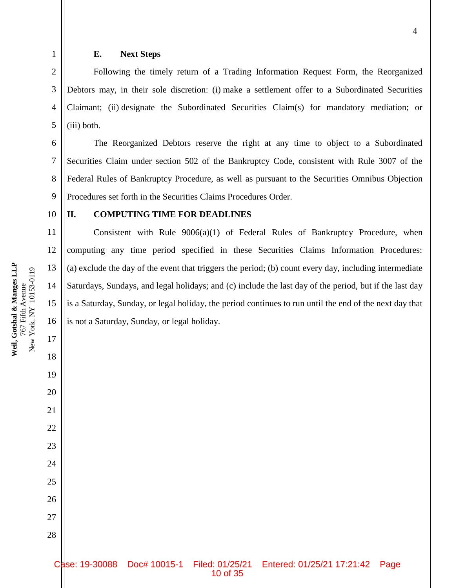15

16

17

18

19

20

21

22

23

24

25

26

27

28

1

# **E. Next Steps**

Following the timely return of a Trading Information Request Form, the Reorganized Debtors may, in their sole discretion: (i) make a settlement offer to a Subordinated Securities Claimant; (ii) designate the Subordinated Securities Claim(s) for mandatory mediation; or (iii) both.

The Reorganized Debtors reserve the right at any time to object to a Subordinated Securities Claim under section 502 of the Bankruptcy Code, consistent with Rule 3007 of the Federal Rules of Bankruptcy Procedure, as well as pursuant to the Securities Omnibus Objection Procedures set forth in the Securities Claims Procedures Order.

#### **II. COMPUTING TIME FOR DEADLINES**

Consistent with Rule  $9006(a)(1)$  of Federal Rules of Bankruptcy Procedure, when computing any time period specified in these Securities Claims Information Procedures: (a) exclude the day of the event that triggers the period; (b) count every day, including intermediate Saturdays, Sundays, and legal holidays; and (c) include the last day of the period, but if the last day is a Saturday, Sunday, or legal holiday, the period continues to run until the end of the next day that is not a Saturday, Sunday, or legal holiday.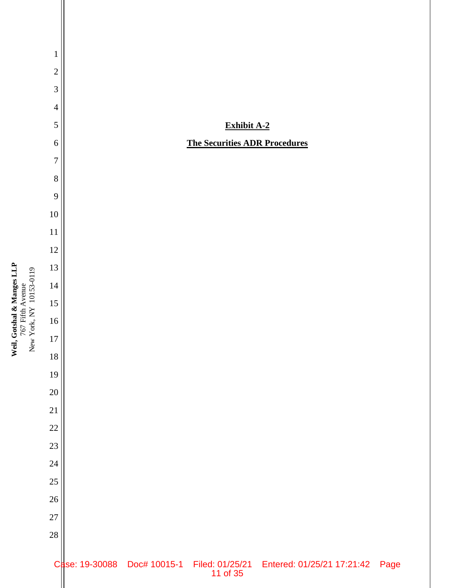

Weil, Gotshal & Manges LLP<br>767 Fifth Avenue<br>New York, NY 10153-0119 **Weil, Gotshal & Manges LLP** 767 Fifth Avenue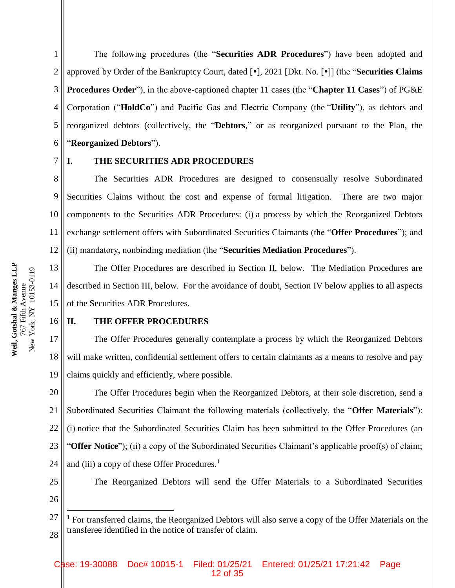1 2 3 4 5 6 The following procedures (the "**Securities ADR Procedures**") have been adopted and approved by Order of the Bankruptcy Court, dated [ $\cdot$ ], 2021 [Dkt. No. [ $\cdot$ ]] (the "**Securities Claims Procedures Order**"), in the above-captioned chapter 11 cases (the "**Chapter 11 Cases**") of PG&E Corporation ("**HoldCo**") and Pacific Gas and Electric Company (the "**Utility**"), as debtors and reorganized debtors (collectively, the "**Debtors**," or as reorganized pursuant to the Plan, the "**Reorganized Debtors**").

#### 7

# **I. THE SECURITIES ADR PROCEDURES**

8 9 10 11 12 The Securities ADR Procedures are designed to consensually resolve Subordinated Securities Claims without the cost and expense of formal litigation. There are two major components to the Securities ADR Procedures: (i) a process by which the Reorganized Debtors exchange settlement offers with Subordinated Securities Claimants (the "**Offer Procedures**"); and (ii) mandatory, nonbinding mediation (the "**Securities Mediation Procedures**").

13 14 15 The Offer Procedures are described in Section II, below. The Mediation Procedures are described in Section III, below. For the avoidance of doubt, Section IV below applies to all aspects of the Securities ADR Procedures.

#### 16 **II. THE OFFER PROCEDURES**

17 18 19 The Offer Procedures generally contemplate a process by which the Reorganized Debtors will make written, confidential settlement offers to certain claimants as a means to resolve and pay claims quickly and efficiently, where possible.

20 21 22 23 24 The Offer Procedures begin when the Reorganized Debtors, at their sole discretion, send a Subordinated Securities Claimant the following materials (collectively, the "**Offer Materials**"): (i) notice that the Subordinated Securities Claim has been submitted to the Offer Procedures (an "**Offer Notice**"); (ii) a copy of the Subordinated Securities Claimant's applicable proof(s) of claim; and (iii) a copy of these Offer Procedures. $<sup>1</sup>$ </sup>

25 26

 $\overline{a}$ 

The Reorganized Debtors will send the Offer Materials to a Subordinated Securities

<sup>27</sup> 28  $<sup>1</sup>$  For transferred claims, the Reorganized Debtors will also serve a copy of the Offer Materials on the</sup> transferee identified in the notice of transfer of claim.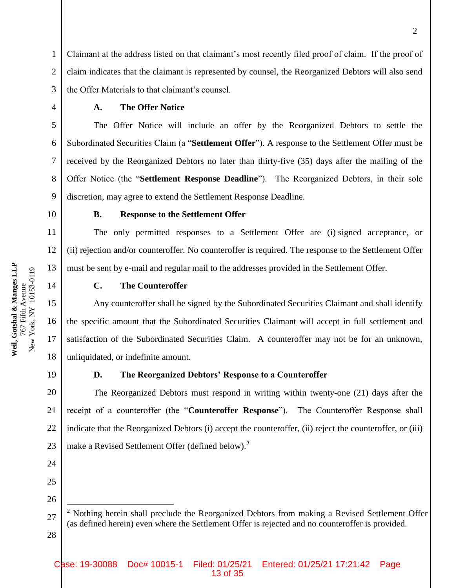Claimant at the address listed on that claimant's most recently filed proof of claim. If the proof of claim indicates that the claimant is represented by counsel, the Reorganized Debtors will also send the Offer Materials to that claimant's counsel.

#### **A. The Offer Notice**

The Offer Notice will include an offer by the Reorganized Debtors to settle the Subordinated Securities Claim (a "**Settlement Offer**"). A response to the Settlement Offer must be received by the Reorganized Debtors no later than thirty-five (35) days after the mailing of the Offer Notice (the "**Settlement Response Deadline**"). The Reorganized Debtors, in their sole discretion, may agree to extend the Settlement Response Deadline.

1

2

3

4

5

6

7

8

9

10

11

12

13

14

15

16

17

18

## **B. Response to the Settlement Offer**

The only permitted responses to a Settlement Offer are (i) signed acceptance, or (ii) rejection and/or counteroffer. No counteroffer is required. The response to the Settlement Offer must be sent by e-mail and regular mail to the addresses provided in the Settlement Offer.

#### **C. The Counteroffer**

Any counteroffer shall be signed by the Subordinated Securities Claimant and shall identify the specific amount that the Subordinated Securities Claimant will accept in full settlement and satisfaction of the Subordinated Securities Claim. A counteroffer may not be for an unknown, unliquidated, or indefinite amount.

19

#### **D. The Reorganized Debtors' Response to a Counteroffer**

20 21 22 The Reorganized Debtors must respond in writing within twenty-one (21) days after the receipt of a counteroffer (the "**Counteroffer Response**"). The Counteroffer Response shall indicate that the Reorganized Debtors (i) accept the counteroffer, (ii) reject the counteroffer, or (iii) make a Revised Settlement Offer (defined below).<sup>2</sup>

 $\overline{a}$ 

<sup>27</sup> 28  $2$  Nothing herein shall preclude the Reorganized Debtors from making a Revised Settlement Offer (as defined herein) even where the Settlement Offer is rejected and no counteroffer is provided.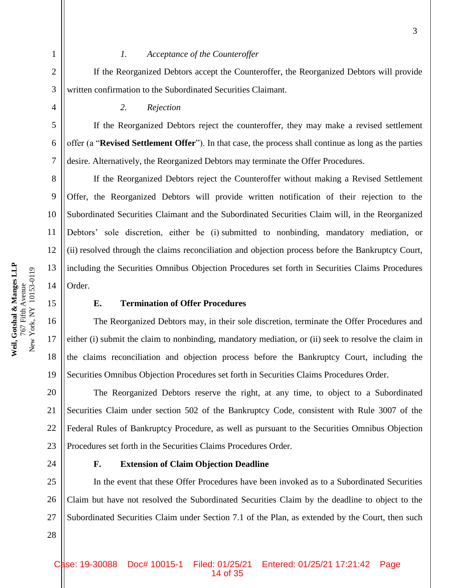If the Reorganized Debtors accept the Counteroffer, the Reorganized Debtors will provide written confirmation to the Subordinated Securities Claimant.

*2. Rejection* 

If the Reorganized Debtors reject the counteroffer, they may make a revised settlement offer (a "**Revised Settlement Offer**"). In that case, the process shall continue as long as the parties desire. Alternatively, the Reorganized Debtors may terminate the Offer Procedures.

If the Reorganized Debtors reject the Counteroffer without making a Revised Settlement Offer, the Reorganized Debtors will provide written notification of their rejection to the Subordinated Securities Claimant and the Subordinated Securities Claim will, in the Reorganized Debtors' sole discretion, either be (i) submitted to nonbinding, mandatory mediation, or (ii) resolved through the claims reconciliation and objection process before the Bankruptcy Court, including the Securities Omnibus Objection Procedures set forth in Securities Claims Procedures Order.

# **E. Termination of Offer Procedures**

The Reorganized Debtors may, in their sole discretion, terminate the Offer Procedures and either (i) submit the claim to nonbinding, mandatory mediation, or (ii) seek to resolve the claim in the claims reconciliation and objection process before the Bankruptcy Court, including the Securities Omnibus Objection Procedures set forth in Securities Claims Procedures Order.

20 21 22 23 The Reorganized Debtors reserve the right, at any time, to object to a Subordinated Securities Claim under section 502 of the Bankruptcy Code, consistent with Rule 3007 of the Federal Rules of Bankruptcy Procedure, as well as pursuant to the Securities Omnibus Objection Procedures set forth in the Securities Claims Procedures Order.

24

28

#### **F. Extension of Claim Objection Deadline**

25 26 27 In the event that these Offer Procedures have been invoked as to a Subordinated Securities Claim but have not resolved the Subordinated Securities Claim by the deadline to object to the Subordinated Securities Claim under Section 7.1 of the Plan, as extended by the Court, then such

1

2

3

4

5

6

7

8

9

10

11

12

13

14

15

16

17

18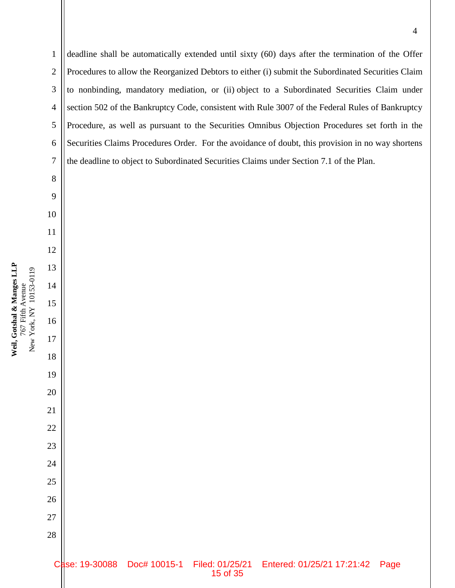deadline shall be automatically extended until sixty (60) days after the termination of the Offer Procedures to allow the Reorganized Debtors to either (i) submit the Subordinated Securities Claim to nonbinding, mandatory mediation, or (ii) object to a Subordinated Securities Claim under section 502 of the Bankruptcy Code, consistent with Rule 3007 of the Federal Rules of Bankruptcy Procedure, as well as pursuant to the Securities Omnibus Objection Procedures set forth in the Securities Claims Procedures Order. For the avoidance of doubt, this provision in no way shortens the deadline to object to Subordinated Securities Claims under Section 7.1 of the Plan.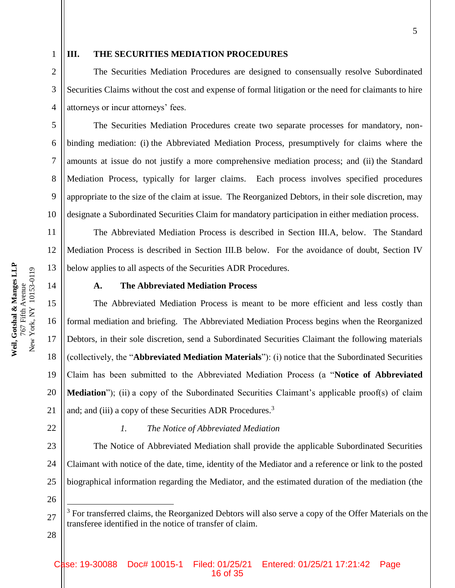3

4

5

6

7

8

9

10

11

12

13

15

1

# **III. THE SECURITIES MEDIATION PROCEDURES**

The Securities Mediation Procedures are designed to consensually resolve Subordinated Securities Claims without the cost and expense of formal litigation or the need for claimants to hire attorneys or incur attorneys' fees.

The Securities Mediation Procedures create two separate processes for mandatory, nonbinding mediation: (i) the Abbreviated Mediation Process, presumptively for claims where the amounts at issue do not justify a more comprehensive mediation process; and (ii) the Standard Mediation Process, typically for larger claims. Each process involves specified procedures appropriate to the size of the claim at issue. The Reorganized Debtors, in their sole discretion, may designate a Subordinated Securities Claim for mandatory participation in either mediation process.

The Abbreviated Mediation Process is described in Section III.A, below. The Standard Mediation Process is described in Section III.B below. For the avoidance of doubt, Section IV below applies to all aspects of the Securities ADR Procedures.

14

# **A. The Abbreviated Mediation Process**

The Abbreviated Mediation Process is meant to be more efficient and less costly than formal mediation and briefing. The Abbreviated Mediation Process begins when the Reorganized Debtors, in their sole discretion, send a Subordinated Securities Claimant the following materials (collectively, the "**Abbreviated Mediation Materials**"): (i) notice that the Subordinated Securities Claim has been submitted to the Abbreviated Mediation Process (a "**Notice of Abbreviated Mediation**"); (ii) a copy of the Subordinated Securities Claimant's applicable proof(s) of claim and; and (iii) a copy of these Securities ADR Procedures.<sup>3</sup>

22

21

#### *1. The Notice of Abbreviated Mediation*

23 24 25 The Notice of Abbreviated Mediation shall provide the applicable Subordinated Securities Claimant with notice of the date, time, identity of the Mediator and a reference or link to the posted biographical information regarding the Mediator, and the estimated duration of the mediation (the

26

 $\overline{a}$ 

27

 $3$  For transferred claims, the Reorganized Debtors will also serve a copy of the Offer Materials on the transferee identified in the notice of transfer of claim.

28

Weil, Gotshal & Manges LLP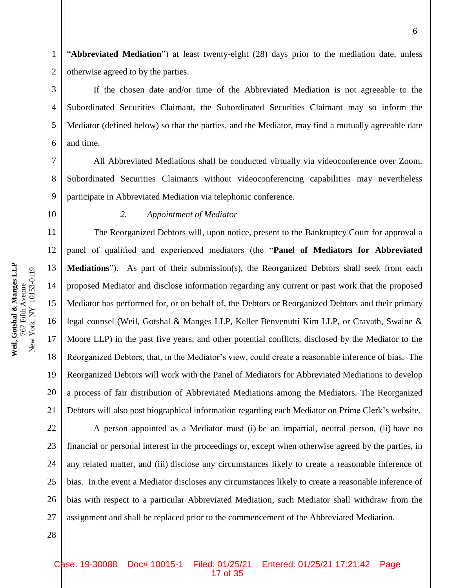1 2 "**Abbreviated Mediation**") at least twenty-eight (28) days prior to the mediation date, unless otherwise agreed to by the parties.

If the chosen date and/or time of the Abbreviated Mediation is not agreeable to the Subordinated Securities Claimant, the Subordinated Securities Claimant may so inform the Mediator (defined below) so that the parties, and the Mediator, may find a mutually agreeable date and time.

All Abbreviated Mediations shall be conducted virtually via videoconference over Zoom. Subordinated Securities Claimants without videoconferencing capabilities may nevertheless participate in Abbreviated Mediation via telephonic conference.

3

4

5

6

7

8

9

19

20

21

28

#### *2. Appointment of Mediator*

The Reorganized Debtors will, upon notice, present to the Bankruptcy Court for approval a panel of qualified and experienced mediators (the "**Panel of Mediators for Abbreviated Mediations**"). As part of their submission(s), the Reorganized Debtors shall seek from each proposed Mediator and disclose information regarding any current or past work that the proposed Mediator has performed for, or on behalf of, the Debtors or Reorganized Debtors and their primary legal counsel (Weil, Gotshal & Manges LLP, Keller Benvenutti Kim LLP, or Cravath, Swaine & Moore LLP) in the past five years, and other potential conflicts, disclosed by the Mediator to the Reorganized Debtors, that, in the Mediator's view, could create a reasonable inference of bias. The Reorganized Debtors will work with the Panel of Mediators for Abbreviated Mediations to develop a process of fair distribution of Abbreviated Mediations among the Mediators. The Reorganized Debtors will also post biographical information regarding each Mediator on Prime Clerk's website.

22 23 24 25 26 27 A person appointed as a Mediator must (i) be an impartial, neutral person, (ii) have no financial or personal interest in the proceedings or, except when otherwise agreed by the parties, in any related matter, and (iii) disclose any circumstances likely to create a reasonable inference of bias. In the event a Mediator discloses any circumstances likely to create a reasonable inference of bias with respect to a particular Abbreviated Mediation, such Mediator shall withdraw from the assignment and shall be replaced prior to the commencement of the Abbreviated Mediation.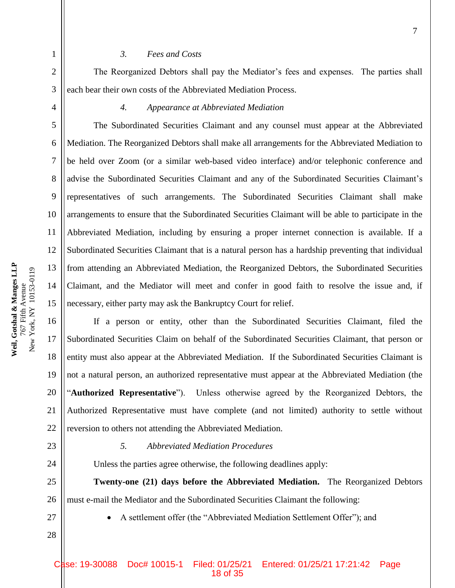# *3. Fees and Costs*

The Reorganized Debtors shall pay the Mediator's fees and expenses. The parties shall each bear their own costs of the Abbreviated Mediation Process.

1

2

3

4

5

6

7

8

9

10

11

12

13

14

15

16

17

18

19

20

21

22

24

#### *4. Appearance at Abbreviated Mediation*

The Subordinated Securities Claimant and any counsel must appear at the Abbreviated Mediation. The Reorganized Debtors shall make all arrangements for the Abbreviated Mediation to be held over Zoom (or a similar web-based video interface) and/or telephonic conference and advise the Subordinated Securities Claimant and any of the Subordinated Securities Claimant's representatives of such arrangements. The Subordinated Securities Claimant shall make arrangements to ensure that the Subordinated Securities Claimant will be able to participate in the Abbreviated Mediation, including by ensuring a proper internet connection is available. If a Subordinated Securities Claimant that is a natural person has a hardship preventing that individual from attending an Abbreviated Mediation, the Reorganized Debtors, the Subordinated Securities Claimant, and the Mediator will meet and confer in good faith to resolve the issue and, if necessary, either party may ask the Bankruptcy Court for relief.

If a person or entity, other than the Subordinated Securities Claimant, filed the Subordinated Securities Claim on behalf of the Subordinated Securities Claimant, that person or entity must also appear at the Abbreviated Mediation. If the Subordinated Securities Claimant is not a natural person, an authorized representative must appear at the Abbreviated Mediation (the "**Authorized Representative**"). Unless otherwise agreed by the Reorganized Debtors, the Authorized Representative must have complete (and not limited) authority to settle without reversion to others not attending the Abbreviated Mediation.

23

# *5. Abbreviated Mediation Procedures*

Unless the parties agree otherwise, the following deadlines apply:

25 26 **Twenty-one (21) days before the Abbreviated Mediation.** The Reorganized Debtors must e-mail the Mediator and the Subordinated Securities Claimant the following:

27

28

A settlement offer (the "Abbreviated Mediation Settlement Offer"); and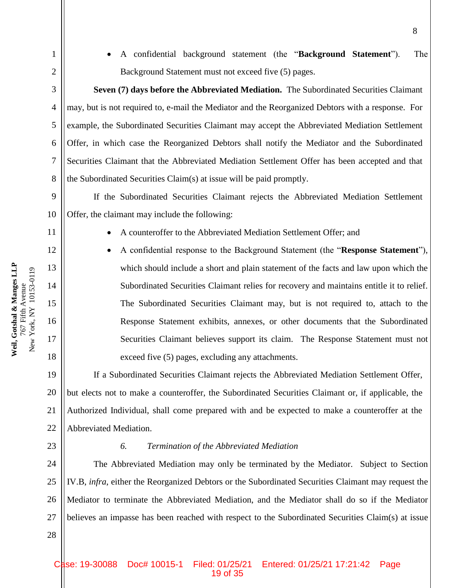4

5

6

7

8

9

11

12

13

14

15

16

17

18

19

20

21

22

28

1

 A confidential background statement (the "**Background Statement**"). The Background Statement must not exceed five (5) pages.

**Seven (7) days before the Abbreviated Mediation.** The Subordinated Securities Claimant may, but is not required to, e-mail the Mediator and the Reorganized Debtors with a response. For example, the Subordinated Securities Claimant may accept the Abbreviated Mediation Settlement Offer, in which case the Reorganized Debtors shall notify the Mediator and the Subordinated Securities Claimant that the Abbreviated Mediation Settlement Offer has been accepted and that the Subordinated Securities Claim(s) at issue will be paid promptly.

10 If the Subordinated Securities Claimant rejects the Abbreviated Mediation Settlement Offer, the claimant may include the following:

- A counteroffer to the Abbreviated Mediation Settlement Offer; and
- A confidential response to the Background Statement (the "**Response Statement**"), which should include a short and plain statement of the facts and law upon which the Subordinated Securities Claimant relies for recovery and maintains entitle it to relief. The Subordinated Securities Claimant may, but is not required to, attach to the Response Statement exhibits, annexes, or other documents that the Subordinated Securities Claimant believes support its claim. The Response Statement must not exceed five (5) pages, excluding any attachments.

If a Subordinated Securities Claimant rejects the Abbreviated Mediation Settlement Offer, but elects not to make a counteroffer, the Subordinated Securities Claimant or, if applicable, the Authorized Individual, shall come prepared with and be expected to make a counteroffer at the Abbreviated Mediation.

23

# *6. Termination of the Abbreviated Mediation*

24 25 26 27 The Abbreviated Mediation may only be terminated by the Mediator. Subject to Section IV.B, *infra*, either the Reorganized Debtors or the Subordinated Securities Claimant may request the Mediator to terminate the Abbreviated Mediation, and the Mediator shall do so if the Mediator believes an impasse has been reached with respect to the Subordinated Securities Claim(s) at issue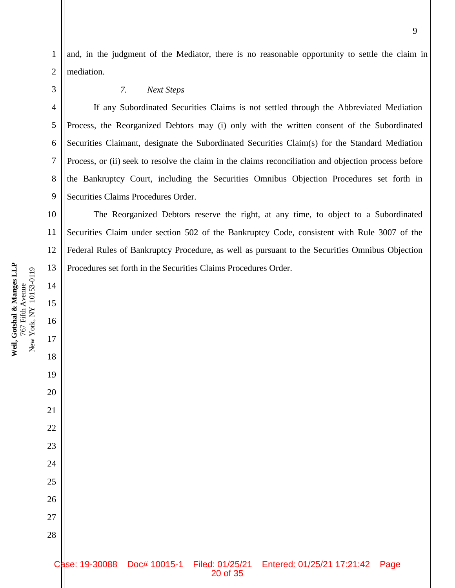and, in the judgment of the Mediator, there is no reasonable opportunity to settle the claim in mediation.

1

2

3

4

5

6

7

8

9

10

11

12

13

14

15

**Weil, Gotshal & Manges LLP** 767 Fifth Avenue

Weil, Gotshal & Manges LLP<br>767 Fifth Avenue

16

17

18

19

20

21

22

23

24

25

26

27

28

## *7. Next Steps*

If any Subordinated Securities Claims is not settled through the Abbreviated Mediation Process, the Reorganized Debtors may (i) only with the written consent of the Subordinated Securities Claimant, designate the Subordinated Securities Claim(s) for the Standard Mediation Process, or (ii) seek to resolve the claim in the claims reconciliation and objection process before the Bankruptcy Court, including the Securities Omnibus Objection Procedures set forth in Securities Claims Procedures Order.

The Reorganized Debtors reserve the right, at any time, to object to a Subordinated Securities Claim under section 502 of the Bankruptcy Code, consistent with Rule 3007 of the Federal Rules of Bankruptcy Procedure, as well as pursuant to the Securities Omnibus Objection Procedures set forth in the Securities Claims Procedures Order.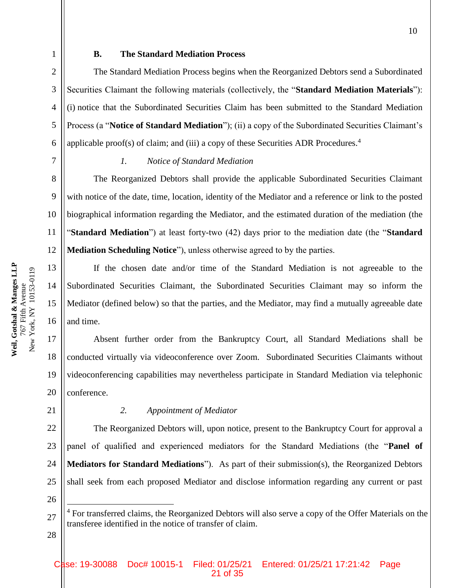5

6

### **B. The Standard Mediation Process**

The Standard Mediation Process begins when the Reorganized Debtors send a Subordinated Securities Claimant the following materials (collectively, the "**Standard Mediation Materials**"): (i) notice that the Subordinated Securities Claim has been submitted to the Standard Mediation Process (a "**Notice of Standard Mediation**"); (ii) a copy of the Subordinated Securities Claimant's applicable proof(s) of claim; and (iii) a copy of these Securities ADR Procedures.<sup>4</sup>

7

8

9

10

11

12

13

14

15

## *1. Notice of Standard Mediation*

The Reorganized Debtors shall provide the applicable Subordinated Securities Claimant with notice of the date, time, location, identity of the Mediator and a reference or link to the posted biographical information regarding the Mediator, and the estimated duration of the mediation (the "**Standard Mediation**") at least forty-two (42) days prior to the mediation date (the "**Standard Mediation Scheduling Notice**"), unless otherwise agreed to by the parties.

If the chosen date and/or time of the Standard Mediation is not agreeable to the Subordinated Securities Claimant, the Subordinated Securities Claimant may so inform the Mediator (defined below) so that the parties, and the Mediator, may find a mutually agreeable date and time.

Absent further order from the Bankruptcy Court, all Standard Mediations shall be conducted virtually via videoconference over Zoom. Subordinated Securities Claimants without videoconferencing capabilities may nevertheless participate in Standard Mediation via telephonic conference.

## *2. Appointment of Mediator*

22 23 24 25 The Reorganized Debtors will, upon notice, present to the Bankruptcy Court for approval a panel of qualified and experienced mediators for the Standard Mediations (the "**Panel of Mediators for Standard Mediations**"). As part of their submission(s), the Reorganized Debtors shall seek from each proposed Mediator and disclose information regarding any current or past

26

 $\overline{a}$ 

21

28

**Weil, Gotshal & Manges LLP**

Weil, Gotshal & Manges LLP

<sup>27</sup> <sup>4</sup> For transferred claims, the Reorganized Debtors will also serve a copy of the Offer Materials on the transferee identified in the notice of transfer of claim.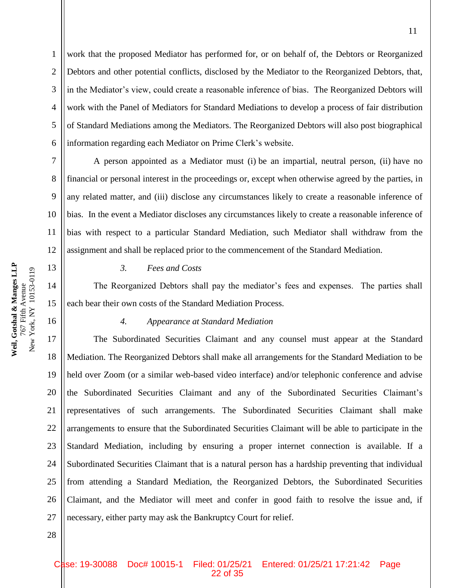work that the proposed Mediator has performed for, or on behalf of, the Debtors or Reorganized Debtors and other potential conflicts, disclosed by the Mediator to the Reorganized Debtors, that, in the Mediator's view, could create a reasonable inference of bias. The Reorganized Debtors will work with the Panel of Mediators for Standard Mediations to develop a process of fair distribution of Standard Mediations among the Mediators. The Reorganized Debtors will also post biographical information regarding each Mediator on Prime Clerk's website.

7 8 9 10 11 12 A person appointed as a Mediator must (i) be an impartial, neutral person, (ii) have no financial or personal interest in the proceedings or, except when otherwise agreed by the parties, in any related matter, and (iii) disclose any circumstances likely to create a reasonable inference of bias. In the event a Mediator discloses any circumstances likely to create a reasonable inference of bias with respect to a particular Standard Mediation, such Mediator shall withdraw from the assignment and shall be replaced prior to the commencement of the Standard Mediation.

#### *3. Fees and Costs*

The Reorganized Debtors shall pay the mediator's fees and expenses. The parties shall each bear their own costs of the Standard Mediation Process.

#### *4. Appearance at Standard Mediation*

17 18 19 20 21 22 23 24 25 26 27 The Subordinated Securities Claimant and any counsel must appear at the Standard Mediation. The Reorganized Debtors shall make all arrangements for the Standard Mediation to be held over Zoom (or a similar web-based video interface) and/or telephonic conference and advise the Subordinated Securities Claimant and any of the Subordinated Securities Claimant's representatives of such arrangements. The Subordinated Securities Claimant shall make arrangements to ensure that the Subordinated Securities Claimant will be able to participate in the Standard Mediation, including by ensuring a proper internet connection is available. If a Subordinated Securities Claimant that is a natural person has a hardship preventing that individual from attending a Standard Mediation, the Reorganized Debtors, the Subordinated Securities Claimant, and the Mediator will meet and confer in good faith to resolve the issue and, if necessary, either party may ask the Bankruptcy Court for relief.

Weil, Gotshal & Manges LLP<br>767 Fifth Avenue **Weil, Gotshal & Manges LLP** New York, NY 10153-0119 New York, NY 10153-0119 767 Fifth Avenue

1

2

3

4

5

6

13

14

15

16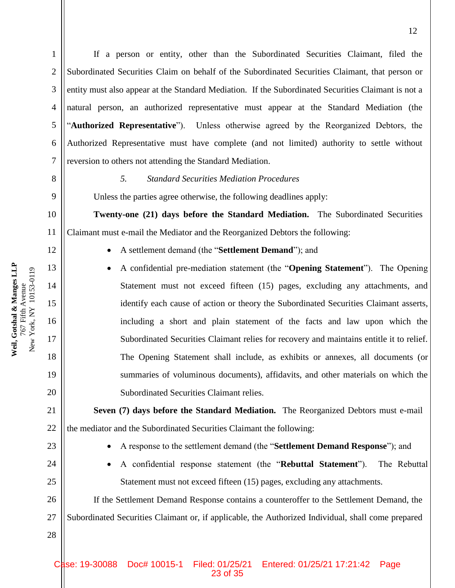If a person or entity, other than the Subordinated Securities Claimant, filed the Subordinated Securities Claim on behalf of the Subordinated Securities Claimant, that person or entity must also appear at the Standard Mediation. If the Subordinated Securities Claimant is not a natural person, an authorized representative must appear at the Standard Mediation (the "**Authorized Representative**"). Unless otherwise agreed by the Reorganized Debtors, the Authorized Representative must have complete (and not limited) authority to settle without reversion to others not attending the Standard Mediation.

8

1

2

3

4

5

6

7

9

10

14

15

16

17

18

19

20

21

22

24

25

28

#### *5. Standard Securities Mediation Procedures*

Unless the parties agree otherwise, the following deadlines apply:

**Twenty-one (21) days before the Standard Mediation.** The Subordinated Securities Claimant must e-mail the Mediator and the Reorganized Debtors the following:

- A settlement demand (the "**Settlement Demand**"); and
- A confidential pre-mediation statement (the "**Opening Statement**"). The Opening Statement must not exceed fifteen (15) pages, excluding any attachments, and identify each cause of action or theory the Subordinated Securities Claimant asserts, including a short and plain statement of the facts and law upon which the Subordinated Securities Claimant relies for recovery and maintains entitle it to relief. The Opening Statement shall include, as exhibits or annexes, all documents (or summaries of voluminous documents), affidavits, and other materials on which the Subordinated Securities Claimant relies.

**Seven (7) days before the Standard Mediation.** The Reorganized Debtors must e-mail the mediator and the Subordinated Securities Claimant the following:

- 23
- A response to the settlement demand (the "**Settlement Demand Response**"); and
- A confidential response statement (the "**Rebuttal Statement**"). The Rebuttal Statement must not exceed fifteen (15) pages, excluding any attachments.

26 27 If the Settlement Demand Response contains a counteroffer to the Settlement Demand, the Subordinated Securities Claimant or, if applicable, the Authorized Individual, shall come prepared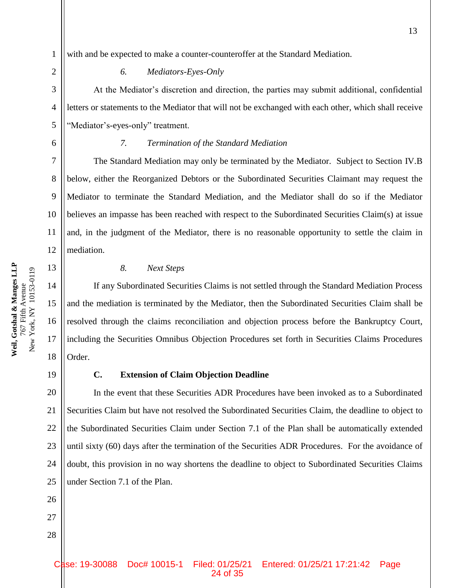**Weil, Gotshal & Manges LLP** 767 Fifth Avenue New York, NY 10153-0119

New York, NY 10153-0119 767 Fifth Avenue

Weil, Gotshal & Manges LLP

with and be expected to make a counter-counteroffer at the Standard Mediation.

#### *6. Mediators-Eyes-Only*

At the Mediator's discretion and direction, the parties may submit additional, confidential letters or statements to the Mediator that will not be exchanged with each other, which shall receive "Mediator's-eyes-only" treatment.

1

#### *7. Termination of the Standard Mediation*

The Standard Mediation may only be terminated by the Mediator. Subject to Section IV.B below, either the Reorganized Debtors or the Subordinated Securities Claimant may request the Mediator to terminate the Standard Mediation, and the Mediator shall do so if the Mediator believes an impasse has been reached with respect to the Subordinated Securities Claim(s) at issue and, in the judgment of the Mediator, there is no reasonable opportunity to settle the claim in mediation.

#### *8. Next Steps*

If any Subordinated Securities Claims is not settled through the Standard Mediation Process and the mediation is terminated by the Mediator, then the Subordinated Securities Claim shall be resolved through the claims reconciliation and objection process before the Bankruptcy Court, including the Securities Omnibus Objection Procedures set forth in Securities Claims Procedures Order.

#### 19

26

27

28

#### **C. Extension of Claim Objection Deadline**

20 21 22 23 24 25 In the event that these Securities ADR Procedures have been invoked as to a Subordinated Securities Claim but have not resolved the Subordinated Securities Claim, the deadline to object to the Subordinated Securities Claim under Section 7.1 of the Plan shall be automatically extended until sixty (60) days after the termination of the Securities ADR Procedures. For the avoidance of doubt, this provision in no way shortens the deadline to object to Subordinated Securities Claims under Section 7.1 of the Plan.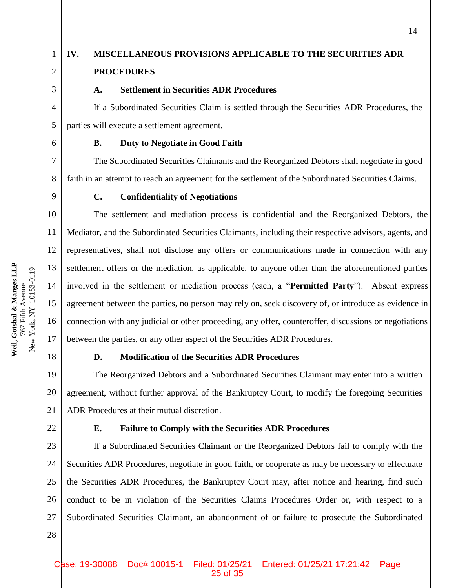3

4

5

6

7

8

9

10

11

12

13

14

15

16

17

21

22

28

1

# **IV. MISCELLANEOUS PROVISIONS APPLICABLE TO THE SECURITIES ADR PROCEDURES**

# **A. Settlement in Securities ADR Procedures**

If a Subordinated Securities Claim is settled through the Securities ADR Procedures, the parties will execute a settlement agreement.

# **B. Duty to Negotiate in Good Faith**

The Subordinated Securities Claimants and the Reorganized Debtors shall negotiate in good faith in an attempt to reach an agreement for the settlement of the Subordinated Securities Claims.

# **C. Confidentiality of Negotiations**

The settlement and mediation process is confidential and the Reorganized Debtors, the Mediator, and the Subordinated Securities Claimants, including their respective advisors, agents, and representatives, shall not disclose any offers or communications made in connection with any settlement offers or the mediation, as applicable, to anyone other than the aforementioned parties involved in the settlement or mediation process (each, a "**Permitted Party**"). Absent express agreement between the parties, no person may rely on, seek discovery of, or introduce as evidence in connection with any judicial or other proceeding, any offer, counteroffer, discussions or negotiations between the parties, or any other aspect of the Securities ADR Procedures.

18

# **D. Modification of the Securities ADR Procedures**

19 20 The Reorganized Debtors and a Subordinated Securities Claimant may enter into a written agreement, without further approval of the Bankruptcy Court, to modify the foregoing Securities ADR Procedures at their mutual discretion.

# **E. Failure to Comply with the Securities ADR Procedures**

23 24 25 26 27 If a Subordinated Securities Claimant or the Reorganized Debtors fail to comply with the Securities ADR Procedures, negotiate in good faith, or cooperate as may be necessary to effectuate the Securities ADR Procedures, the Bankruptcy Court may, after notice and hearing, find such conduct to be in violation of the Securities Claims Procedures Order or, with respect to a Subordinated Securities Claimant, an abandonment of or failure to prosecute the Subordinated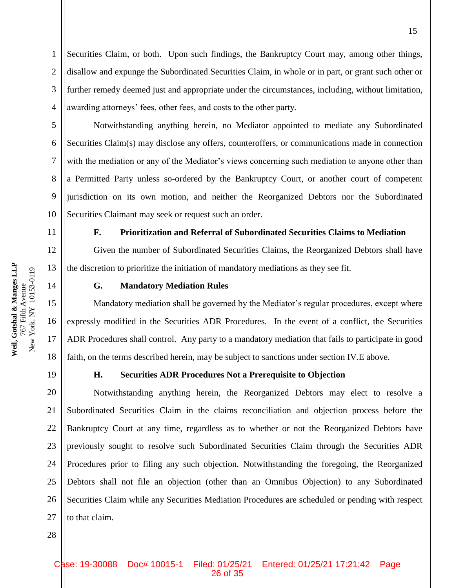Securities Claim, or both. Upon such findings, the Bankruptcy Court may, among other things, disallow and expunge the Subordinated Securities Claim, in whole or in part, or grant such other or further remedy deemed just and appropriate under the circumstances, including, without limitation, awarding attorneys' fees, other fees, and costs to the other party.

Notwithstanding anything herein, no Mediator appointed to mediate any Subordinated Securities Claim(s) may disclose any offers, counteroffers, or communications made in connection with the mediation or any of the Mediator's views concerning such mediation to anyone other than a Permitted Party unless so-ordered by the Bankruptcy Court, or another court of competent jurisdiction on its own motion, and neither the Reorganized Debtors nor the Subordinated Securities Claimant may seek or request such an order.

**F. Prioritization and Referral of Subordinated Securities Claims to Mediation**

Given the number of Subordinated Securities Claims, the Reorganized Debtors shall have the discretion to prioritize the initiation of mandatory mediations as they see fit.

1

2

3

4

5

6

7

8

9

10

11

12

13

14

15

16

17

18

#### **G. Mandatory Mediation Rules**

Mandatory mediation shall be governed by the Mediator's regular procedures, except where expressly modified in the Securities ADR Procedures. In the event of a conflict, the Securities ADR Procedures shall control. Any party to a mandatory mediation that fails to participate in good faith, on the terms described herein, may be subject to sanctions under section IV.E above.

19

#### **H. Securities ADR Procedures Not a Prerequisite to Objection**

20 21 22 23 24 25 26 27 Notwithstanding anything herein, the Reorganized Debtors may elect to resolve a Subordinated Securities Claim in the claims reconciliation and objection process before the Bankruptcy Court at any time, regardless as to whether or not the Reorganized Debtors have previously sought to resolve such Subordinated Securities Claim through the Securities ADR Procedures prior to filing any such objection. Notwithstanding the foregoing, the Reorganized Debtors shall not file an objection (other than an Omnibus Objection) to any Subordinated Securities Claim while any Securities Mediation Procedures are scheduled or pending with respect to that claim.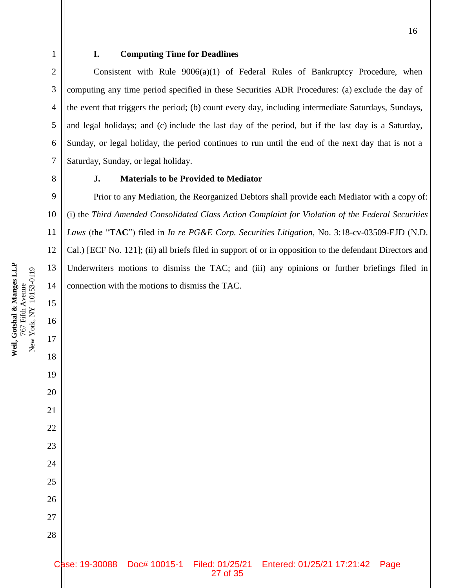#### **I. Computing Time for Deadlines**

Consistent with Rule  $9006(a)(1)$  of Federal Rules of Bankruptcy Procedure, when computing any time period specified in these Securities ADR Procedures: (a) exclude the day of the event that triggers the period; (b) count every day, including intermediate Saturdays, Sundays, and legal holidays; and (c) include the last day of the period, but if the last day is a Saturday, Sunday, or legal holiday, the period continues to run until the end of the next day that is not a Saturday, Sunday, or legal holiday.

1

2

3

4

5

6

7

8

9

10

11

12

13

14

15

16

17

18

19

20

21

22

23

24

25

26

27

28

# **J. Materials to be Provided to Mediator**

Prior to any Mediation, the Reorganized Debtors shall provide each Mediator with a copy of: (i) the *Third Amended Consolidated Class Action Complaint for Violation of the Federal Securities Laws* (the "**TAC**") filed in *In re PG&E Corp. Securities Litigation*, No. 3:18-cv-03509-EJD (N.D. Cal.) [ECF No. 121]; (ii) all briefs filed in support of or in opposition to the defendant Directors and Underwriters motions to dismiss the TAC; and (iii) any opinions or further briefings filed in connection with the motions to dismiss the TAC.

Case: 19-30088 Doc# 10015-1 Filed: 01/25/21 Entered: 01/25/21 17:21:42 Page 27 of 35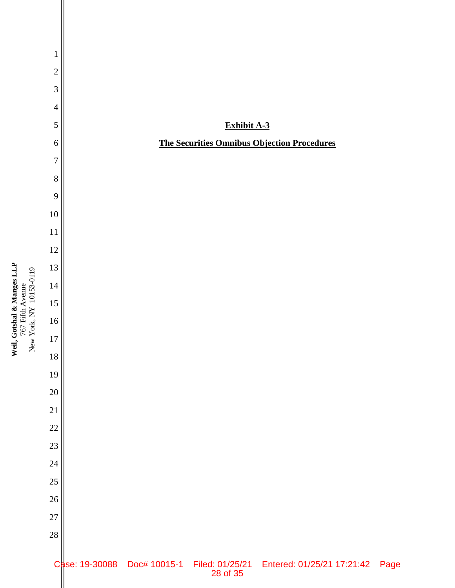

Weil, Gotshal & Manges LLP<br>767 Frith Avenue<br>New York, NY 10153-0119 **Weil, Gotshal & Manges LLP** New York, NY 10153-0119 767 Fifth Avenue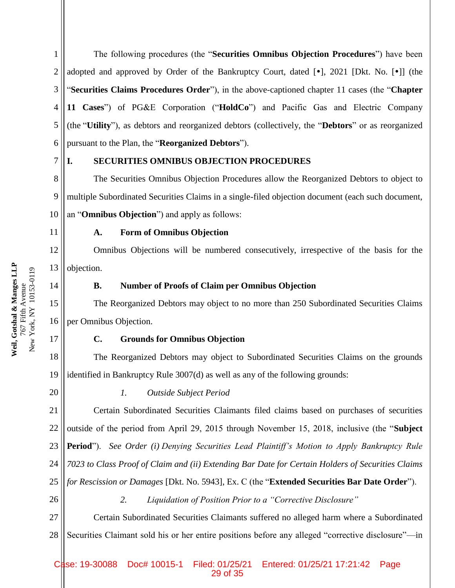1 2 3 4 5 6 The following procedures (the "**Securities Omnibus Objection Procedures**") have been adopted and approved by Order of the Bankruptcy Court, dated  $[\bullet]$ , 2021 [Dkt. No.  $[\bullet]$ ] (the "**Securities Claims Procedures Order**"), in the above-captioned chapter 11 cases (the "**Chapter 11 Cases**") of PG&E Corporation ("**HoldCo**") and Pacific Gas and Electric Company (the "**Utility**"), as debtors and reorganized debtors (collectively, the "**Debtors**" or as reorganized pursuant to the Plan, the "**Reorganized Debtors**").

7

#### **I. SECURITIES OMNIBUS OBJECTION PROCEDURES**

8 9 10 The Securities Omnibus Objection Procedures allow the Reorganized Debtors to object to multiple Subordinated Securities Claims in a single-filed objection document (each such document, an "**Omnibus Objection**") and apply as follows:

11

# **A. Form of Omnibus Objection**

12 13 Omnibus Objections will be numbered consecutively, irrespective of the basis for the objection.

14

#### **B. Number of Proofs of Claim per Omnibus Objection**

15 16 The Reorganized Debtors may object to no more than 250 Subordinated Securities Claims per Omnibus Objection.

#### **C. Grounds for Omnibus Objection**

18 19 The Reorganized Debtors may object to Subordinated Securities Claims on the grounds identified in Bankruptcy Rule 3007(d) as well as any of the following grounds:

20

17

*1. Outside Subject Period*

21 22 23 24 25 Certain Subordinated Securities Claimants filed claims based on purchases of securities outside of the period from April 29, 2015 through November 15, 2018, inclusive (the "**Subject Period**"). *See Order (i) Denying Securities Lead Plaintiff's Motion to Apply Bankruptcy Rule 7023 to Class Proof of Claim and (ii) Extending Bar Date for Certain Holders of Securities Claims for Rescission or Damages* [Dkt. No. 5943], Ex. C (the "**Extended Securities Bar Date Order**").

26

*2. Liquidation of Position Prior to a "Corrective Disclosure"*

27 28 Certain Subordinated Securities Claimants suffered no alleged harm where a Subordinated Securities Claimant sold his or her entire positions before any alleged "corrective disclosure"—in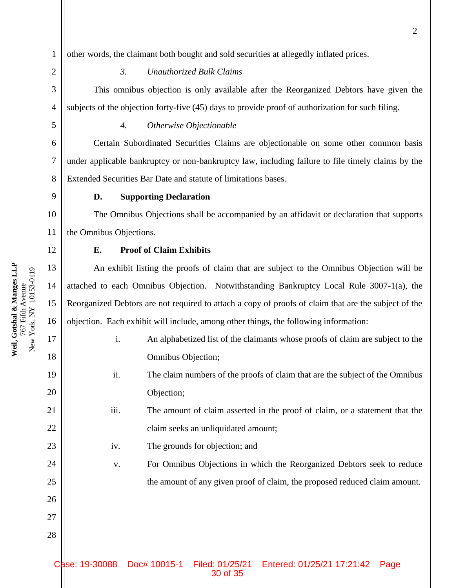**Weil, Gotshal & Manges LLP**

767 Fifth Avenue

Weil, Gotshal & Manges LLP

1 other words, the claimant both bought and sold securities at allegedly inflated prices.

# *3. Unauthorized Bulk Claims*

This omnibus objection is only available after the Reorganized Debtors have given the subjects of the objection forty-five (45) days to provide proof of authorization for such filing.

2

3

4

5

6

7

8

9

19

20

21

22

23

24

25

26

27

28

## *4. Otherwise Objectionable*

Certain Subordinated Securities Claims are objectionable on some other common basis under applicable bankruptcy or non-bankruptcy law, including failure to file timely claims by the Extended Securities Bar Date and statute of limitations bases.

#### **D. Supporting Declaration**

The Omnibus Objections shall be accompanied by an affidavit or declaration that supports the Omnibus Objections.

## **E. Proof of Claim Exhibits**

An exhibit listing the proofs of claim that are subject to the Omnibus Objection will be attached to each Omnibus Objection. Notwithstanding Bankruptcy Local Rule 3007-1(a), the Reorganized Debtors are not required to attach a copy of proofs of claim that are the subject of the objection. Each exhibit will include, among other things, the following information:

- i. An alphabetized list of the claimants whose proofs of claim are subject to the Omnibus Objection;
- ii. The claim numbers of the proofs of claim that are the subject of the Omnibus Objection;
- iii. The amount of claim asserted in the proof of claim, or a statement that the claim seeks an unliquidated amount;
- iv. The grounds for objection; and

v. For Omnibus Objections in which the Reorganized Debtors seek to reduce the amount of any given proof of claim, the proposed reduced claim amount.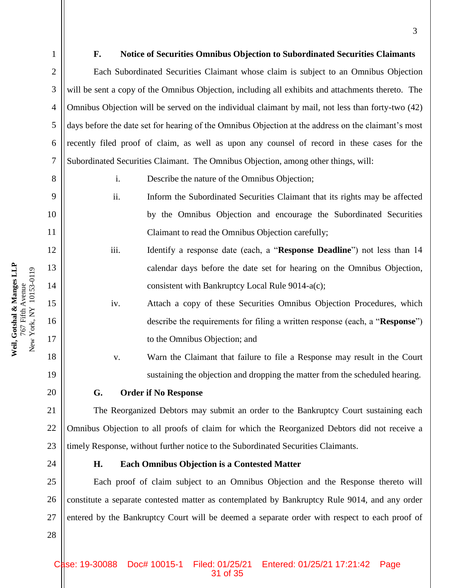2

3

4

5

6

7

8

9

10

11

12

13

14

15

16

17

18

19

20

21

22

23

24

28

# **F. Notice of Securities Omnibus Objection to Subordinated Securities Claimants**

Each Subordinated Securities Claimant whose claim is subject to an Omnibus Objection will be sent a copy of the Omnibus Objection, including all exhibits and attachments thereto. The Omnibus Objection will be served on the individual claimant by mail, not less than forty-two (42) days before the date set for hearing of the Omnibus Objection at the address on the claimant's most recently filed proof of claim, as well as upon any counsel of record in these cases for the Subordinated Securities Claimant. The Omnibus Objection, among other things, will:

i. Describe the nature of the Omnibus Objection;

- ii. Inform the Subordinated Securities Claimant that its rights may be affected by the Omnibus Objection and encourage the Subordinated Securities Claimant to read the Omnibus Objection carefully;
- iii. Identify a response date (each, a "**Response Deadline**") not less than 14 calendar days before the date set for hearing on the Omnibus Objection, consistent with Bankruptcy Local Rule 9014-a(c);
	- iv. Attach a copy of these Securities Omnibus Objection Procedures, which describe the requirements for filing a written response (each, a "**Response**") to the Omnibus Objection; and

v. Warn the Claimant that failure to file a Response may result in the Court sustaining the objection and dropping the matter from the scheduled hearing.

**G. Order if No Response**

The Reorganized Debtors may submit an order to the Bankruptcy Court sustaining each Omnibus Objection to all proofs of claim for which the Reorganized Debtors did not receive a timely Response, without further notice to the Subordinated Securities Claimants.

### **H. Each Omnibus Objection is a Contested Matter**

25 26 27 Each proof of claim subject to an Omnibus Objection and the Response thereto will constitute a separate contested matter as contemplated by Bankruptcy Rule 9014, and any order entered by the Bankruptcy Court will be deemed a separate order with respect to each proof of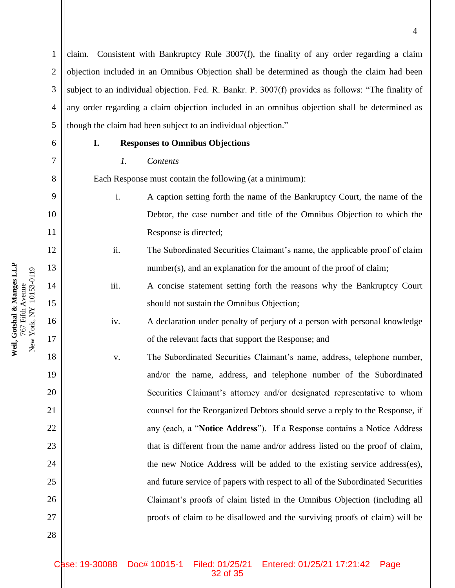claim. Consistent with Bankruptcy Rule  $3007(f)$ , the finality of any order regarding a claim objection included in an Omnibus Objection shall be determined as though the claim had been subject to an individual objection. Fed. R. Bankr. P. 3007(f) provides as follows: "The finality of any order regarding a claim objection included in an omnibus objection shall be determined as though the claim had been subject to an individual objection."

1

2

3

4

5

6

7

8

9

10

11

12

13

14

15

16

17

18

19

20

21

22

23

24

25

26

27

28

## **I. Responses to Omnibus Objections**

#### *1. Contents*

Each Response must contain the following (at a minimum):

- i. A caption setting forth the name of the Bankruptcy Court, the name of the Debtor, the case number and title of the Omnibus Objection to which the Response is directed;
- ii. The Subordinated Securities Claimant's name, the applicable proof of claim number(s), and an explanation for the amount of the proof of claim;
- iii. A concise statement setting forth the reasons why the Bankruptcy Court should not sustain the Omnibus Objection;
- iv. A declaration under penalty of perjury of a person with personal knowledge of the relevant facts that support the Response; and
- v. The Subordinated Securities Claimant's name, address, telephone number, and/or the name, address, and telephone number of the Subordinated Securities Claimant's attorney and/or designated representative to whom counsel for the Reorganized Debtors should serve a reply to the Response, if any (each, a "**Notice Address**"). If a Response contains a Notice Address that is different from the name and/or address listed on the proof of claim, the new Notice Address will be added to the existing service address(es), and future service of papers with respect to all of the Subordinated Securities Claimant's proofs of claim listed in the Omnibus Objection (including all proofs of claim to be disallowed and the surviving proofs of claim) will be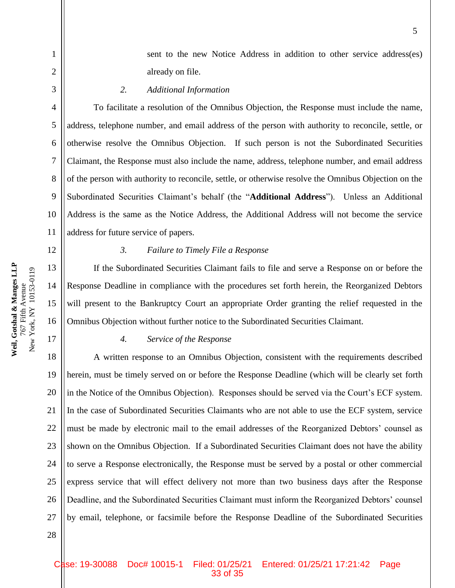sent to the new Notice Address in addition to other service address(es) already on file.

*2. Additional Information*

To facilitate a resolution of the Omnibus Objection, the Response must include the name, address, telephone number, and email address of the person with authority to reconcile, settle, or otherwise resolve the Omnibus Objection. If such person is not the Subordinated Securities Claimant, the Response must also include the name, address, telephone number, and email address of the person with authority to reconcile, settle, or otherwise resolve the Omnibus Objection on the Subordinated Securities Claimant's behalf (the "**Additional Address**"). Unless an Additional Address is the same as the Notice Address, the Additional Address will not become the service address for future service of papers.

#### 12

1

2

3

4

5

6

7

8

9

10

11

13

14

15

16

17

28

#### *3. Failure to Timely File a Response*

If the Subordinated Securities Claimant fails to file and serve a Response on or before the Response Deadline in compliance with the procedures set forth herein, the Reorganized Debtors will present to the Bankruptcy Court an appropriate Order granting the relief requested in the Omnibus Objection without further notice to the Subordinated Securities Claimant.

#### *4. Service of the Response*

18 19 20 21 22 23 24 25 26 27 A written response to an Omnibus Objection, consistent with the requirements described herein, must be timely served on or before the Response Deadline (which will be clearly set forth in the Notice of the Omnibus Objection). Responses should be served via the Court's ECF system. In the case of Subordinated Securities Claimants who are not able to use the ECF system, service must be made by electronic mail to the email addresses of the Reorganized Debtors' counsel as shown on the Omnibus Objection. If a Subordinated Securities Claimant does not have the ability to serve a Response electronically, the Response must be served by a postal or other commercial express service that will effect delivery not more than two business days after the Response Deadline, and the Subordinated Securities Claimant must inform the Reorganized Debtors' counsel by email, telephone, or facsimile before the Response Deadline of the Subordinated Securities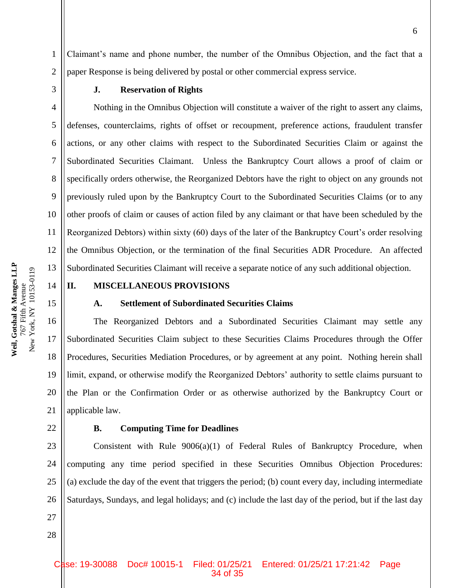Claimant's name and phone number, the number of the Omnibus Objection, and the fact that a paper Response is being delivered by postal or other commercial express service.

1

2

3

4

5

6

7

8

9

10

11

12

13

15

16

17

18

19

20

21

#### **J. Reservation of Rights**

Nothing in the Omnibus Objection will constitute a waiver of the right to assert any claims, defenses, counterclaims, rights of offset or recoupment, preference actions, fraudulent transfer actions, or any other claims with respect to the Subordinated Securities Claim or against the Subordinated Securities Claimant. Unless the Bankruptcy Court allows a proof of claim or specifically orders otherwise, the Reorganized Debtors have the right to object on any grounds not previously ruled upon by the Bankruptcy Court to the Subordinated Securities Claims (or to any other proofs of claim or causes of action filed by any claimant or that have been scheduled by the Reorganized Debtors) within sixty (60) days of the later of the Bankruptcy Court's order resolving the Omnibus Objection, or the termination of the final Securities ADR Procedure. An affected Subordinated Securities Claimant will receive a separate notice of any such additional objection.

14

# **II. MISCELLANEOUS PROVISIONS**

#### **A. Settlement of Subordinated Securities Claims**

The Reorganized Debtors and a Subordinated Securities Claimant may settle any Subordinated Securities Claim subject to these Securities Claims Procedures through the Offer Procedures, Securities Mediation Procedures, or by agreement at any point. Nothing herein shall limit, expand, or otherwise modify the Reorganized Debtors' authority to settle claims pursuant to the Plan or the Confirmation Order or as otherwise authorized by the Bankruptcy Court or applicable law.

22

27

28

#### **B. Computing Time for Deadlines**

23 24 25 26 Consistent with Rule  $9006(a)(1)$  of Federal Rules of Bankruptcy Procedure, when computing any time period specified in these Securities Omnibus Objection Procedures: (a) exclude the day of the event that triggers the period; (b) count every day, including intermediate Saturdays, Sundays, and legal holidays; and (c) include the last day of the period, but if the last day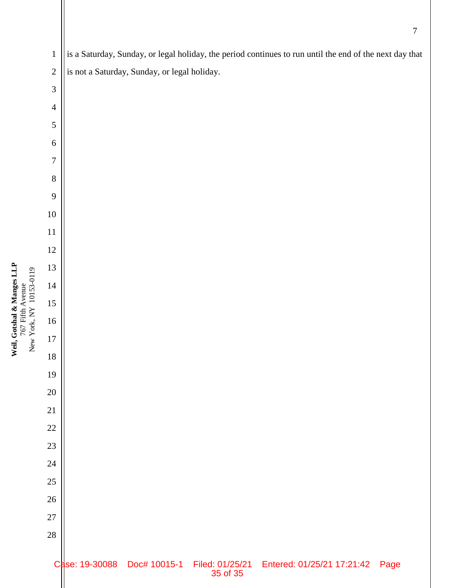Weil, Gotshal & Manges LLP<br>767 Fifth Avenue<br>New York, NY 10153-0119 **Weil, Gotshal & Manges LLP** New York, NY 10153-0119 767 Fifth Avenue

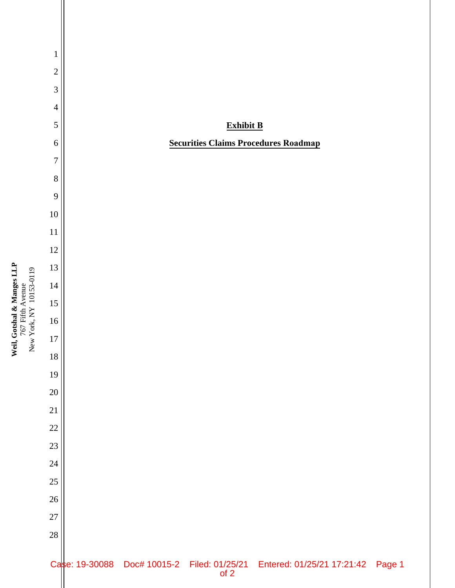

Weil, Gotshal & Manges LLP<br>767 Fifth Avenue<br>New York, NY 10153-0119 **Weil, Gotshal & Manges LLP** New York, NY 10153-0119 767 Fifth Avenue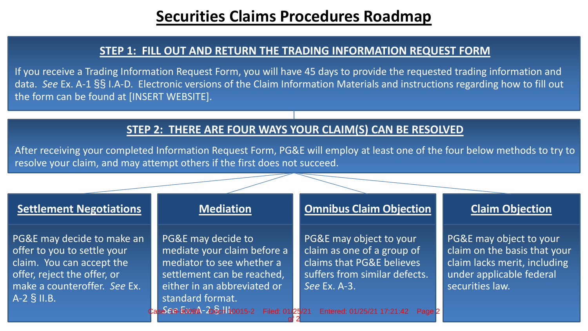# **Securities Claims Procedures Roadmap**

# **STEP 1: FILL OUT AND RETURN THE TRADING INFORMATION REQUEST FORM**

If you receive a Trading Information Request Form, you will have 45 days to provide the requested trading information and data. *See* Ex. A-1 §§ I.A-D. Electronic versions of the Claim Information Materials and instructions regarding how to fill out the form can be found at [INSERT WEBSITE].

# **STEP 2: THERE ARE FOUR WAYS YOUR CLAIM(S) CAN BE RESOLVED**

After receiving your completed Information Request Form, PG&E will employ at least one of the four below methods to try to resolve your claim, and may attempt others if the first does not succeed.

# **Settlement Negotiations**

PG&E may decide to make an offer to you to settle your claim. You can accept the offer, reject the offer, or make a counteroffer. *See* Ex. A-2 § II.B.

# **Mediation**

PG&E may decide to mediate your claim before a mediator to see whether a settlement can be reached, either in an abbreviated or standard format.

# **Omnibus Claim Objection**

PG&E may object to your claim as one of a group of claims that PG&E believes suffers from similar defects. *See* Ex. A-3.

# **Claim Objection**

PG&E may object to your claim on the basis that your claim lacks merit, including under applicable federal securities law.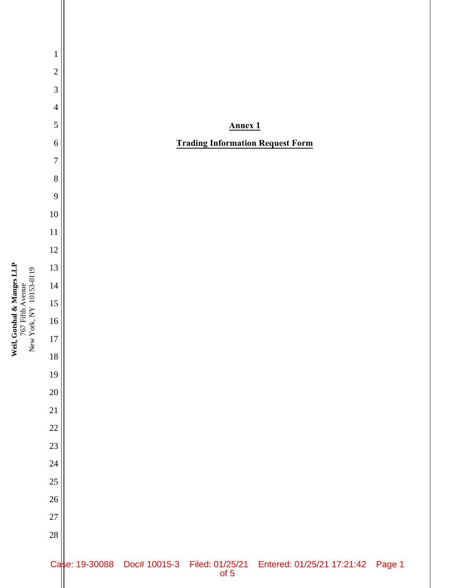Weil, Gotshal & Manges LLP<br>767 Fifth Avenue<br>New York, NY 10153-0119 **Weil, Gotshal & Manges LLP** 767 Fifth Avenue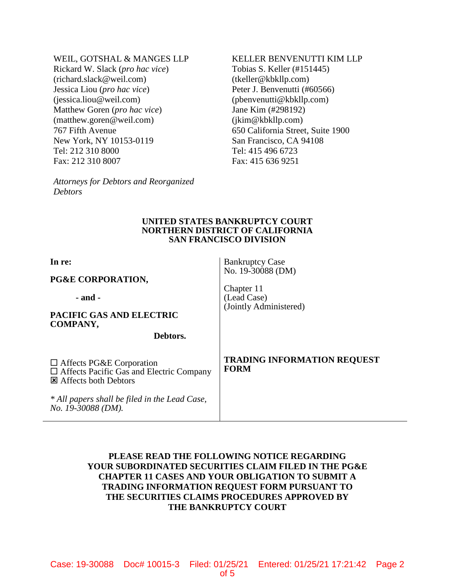#### WEIL, GOTSHAL & MANGES LLP

Rickard W. Slack (*pro hac vice*) (richard.slack@weil.com) Jessica Liou (*pro hac vice*) (jessica.liou@weil.com) Matthew Goren (*pro hac vice*) (matthew.goren@weil.com) 767 Fifth Avenue New York, NY 10153-0119 Tel: 212 310 8000 Fax: 212 310 8007

*Attorneys for Debtors and Reorganized Debtors* 

# KELLER BENVENUTTI KIM LLP

Tobias S. Keller (#151445) (tkeller@kbkllp.com) Peter J. Benvenutti (#60566) (pbenvenutti@kbkllp.com) Jane Kim (#298192) (jkim@kbkllp.com) 650 California Street, Suite 1900 San Francisco, CA 94108 Tel: 415 496 6723 Fax: 415 636 9251

#### **UNITED STATES BANKRUPTCY COURT NORTHERN DISTRICT OF CALIFORNIA SAN FRANCISCO DIVISION**

Bankruptcy Case No. 19-30088 (DM)

(Jointly Administered)

Chapter 11 (Lead Case)

**In re:** 

**PG&E CORPORATION,**

 **- and -**

**PACIFIC GAS AND ELECTRIC COMPANY,**

**Debtors.**

□ Affects PG&E Corporation Affects Pacific Gas and Electric Company Affects both Debtors

*\* All papers shall be filed in the Lead Case, No. 19-30088 (DM).* 

### **TRADING INFORMATION REQUEST FORM**

# **PLEASE READ THE FOLLOWING NOTICE REGARDING YOUR SUBORDINATED SECURITIES CLAIM FILED IN THE PG&E CHAPTER 11 CASES AND YOUR OBLIGATION TO SUBMIT A TRADING INFORMATION REQUEST FORM PURSUANT TO THE SECURITIES CLAIMS PROCEDURES APPROVED BY THE BANKRUPTCY COURT**

Case: 19-30088 Doc# 10015-3 Filed: 01/25/21 Entered: 01/25/21 17:21:42 Page 2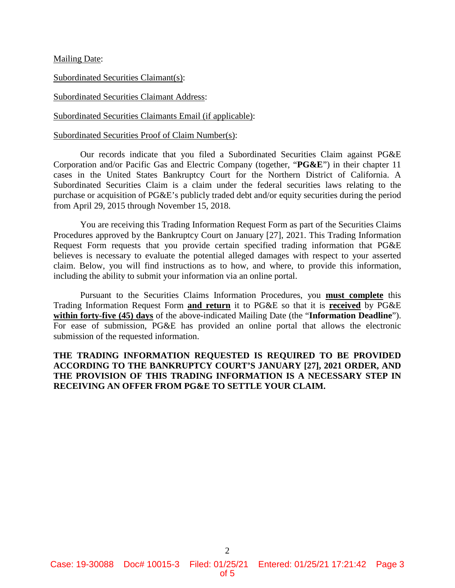Mailing Date:

Subordinated Securities Claimant(s):

Subordinated Securities Claimant Address:

Subordinated Securities Claimants Email (if applicable):

Subordinated Securities Proof of Claim Number(s):

Our records indicate that you filed a Subordinated Securities Claim against PG&E Corporation and/or Pacific Gas and Electric Company (together, "**PG&E**") in their chapter 11 cases in the United States Bankruptcy Court for the Northern District of California. A Subordinated Securities Claim is a claim under the federal securities laws relating to the purchase or acquisition of PG&E's publicly traded debt and/or equity securities during the period from April 29, 2015 through November 15, 2018.

You are receiving this Trading Information Request Form as part of the Securities Claims Procedures approved by the Bankruptcy Court on January [27], 2021. This Trading Information Request Form requests that you provide certain specified trading information that PG&E believes is necessary to evaluate the potential alleged damages with respect to your asserted claim. Below, you will find instructions as to how, and where, to provide this information, including the ability to submit your information via an online portal.

Pursuant to the Securities Claims Information Procedures, you **must complete** this Trading Information Request Form **and return** it to PG&E so that it is **received** by PG&E **within forty-five (45) days** of the above-indicated Mailing Date (the "**Information Deadline**"). For ease of submission, PG&E has provided an online portal that allows the electronic submission of the requested information.

**THE TRADING INFORMATION REQUESTED IS REQUIRED TO BE PROVIDED ACCORDING TO THE BANKRUPTCY COURT'S JANUARY [27], 2021 ORDER, AND THE PROVISION OF THIS TRADING INFORMATION IS A NECESSARY STEP IN RECEIVING AN OFFER FROM PG&E TO SETTLE YOUR CLAIM.**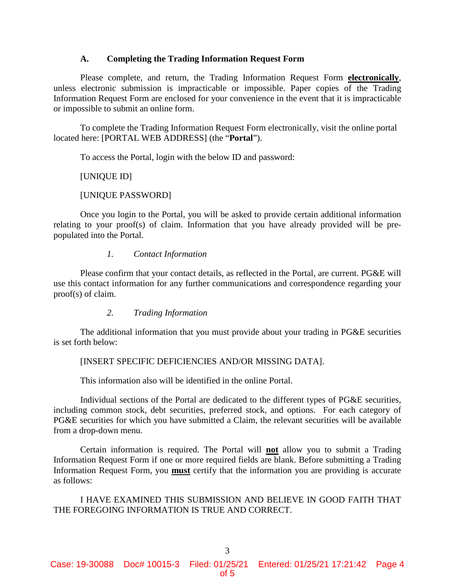#### **A. Completing the Trading Information Request Form**

Please complete, and return, the Trading Information Request Form **electronically**, unless electronic submission is impracticable or impossible. Paper copies of the Trading Information Request Form are enclosed for your convenience in the event that it is impracticable or impossible to submit an online form.

To complete the Trading Information Request Form electronically, visit the online portal located here: [PORTAL WEB ADDRESS] (the "**Portal**").

To access the Portal, login with the below ID and password:

#### [UNIQUE ID]

#### [UNIQUE PASSWORD]

Once you login to the Portal, you will be asked to provide certain additional information relating to your proof(s) of claim. Information that you have already provided will be prepopulated into the Portal.

#### *1. Contact Information*

Please confirm that your contact details, as reflected in the Portal, are current. PG&E will use this contact information for any further communications and correspondence regarding your proof(s) of claim.

### *2. Trading Information*

The additional information that you must provide about your trading in PG&E securities is set forth below:

### [INSERT SPECIFIC DEFICIENCIES AND/OR MISSING DATA].

This information also will be identified in the online Portal.

Individual sections of the Portal are dedicated to the different types of PG&E securities, including common stock, debt securities, preferred stock, and options. For each category of PG&E securities for which you have submitted a Claim, the relevant securities will be available from a drop-down menu.

Certain information is required. The Portal will **not** allow you to submit a Trading Information Request Form if one or more required fields are blank. Before submitting a Trading Information Request Form, you **must** certify that the information you are providing is accurate as follows:

I HAVE EXAMINED THIS SUBMISSION AND BELIEVE IN GOOD FAITH THAT THE FOREGOING INFORMATION IS TRUE AND CORRECT.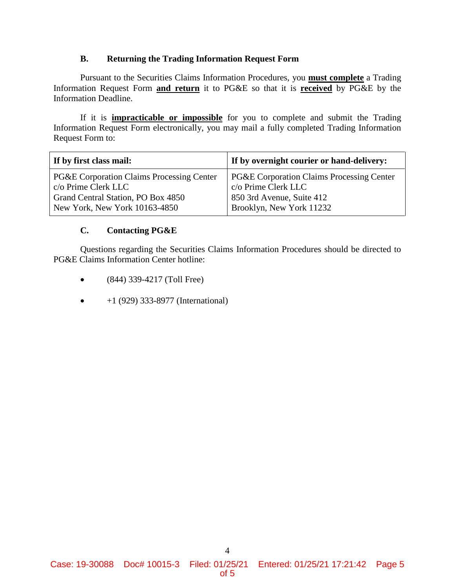## **B. Returning the Trading Information Request Form**

Pursuant to the Securities Claims Information Procedures, you **must complete** a Trading Information Request Form **and return** it to PG&E so that it is **received** by PG&E by the Information Deadline.

If it is **impracticable or impossible** for you to complete and submit the Trading Information Request Form electronically, you may mail a fully completed Trading Information Request Form to:

| If by first class mail:                   | If by overnight courier or hand-delivery:            |
|-------------------------------------------|------------------------------------------------------|
| PG&E Corporation Claims Processing Center | <b>PG&amp;E Corporation Claims Processing Center</b> |
| c/o Prime Clerk LLC                       | c/o Prime Clerk LLC                                  |
| Grand Central Station, PO Box 4850        | 850 3rd Avenue, Suite 412                            |
| New York, New York 10163-4850             | Brooklyn, New York 11232                             |

# **C. Contacting PG&E**

Questions regarding the Securities Claims Information Procedures should be directed to PG&E Claims Information Center hotline:

- (844) 339-4217 (Toll Free)
- $+1$  (929) 333-8977 (International)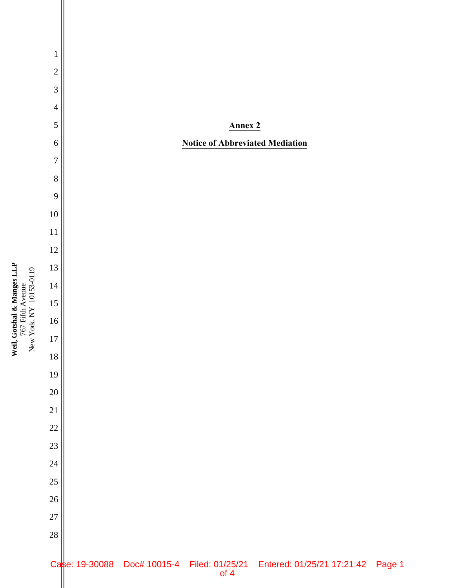Weil, Gotshal & Manges LLP<br>767 Fifth Avenue<br>New York, NY 10153-0119 **Weil, Gotshal & Manges LLP** New York, NY 10153-0119 767 Fifth Avenue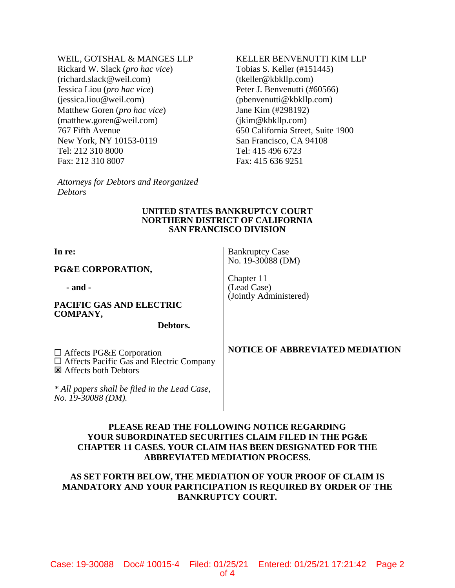WEIL, GOTSHAL & MANGES LLP

Rickard W. Slack (*pro hac vice*) (richard.slack@weil.com) Jessica Liou (*pro hac vice*) (jessica.liou@weil.com) Matthew Goren (*pro hac vice*) (matthew.goren@weil.com) 767 Fifth Avenue New York, NY 10153-0119 Tel: 212 310 8000 Fax: 212 310 8007

*Attorneys for Debtors and Reorganized Debtors* 

#### KELLER BENVENUTTI KIM LLP Tobias S. Keller (#151445)

(tkeller@kbkllp.com) Peter J. Benvenutti (#60566) (pbenvenutti@kbkllp.com) Jane Kim (#298192) (jkim@kbkllp.com) 650 California Street, Suite 1900 San Francisco, CA 94108 Tel: 415 496 6723 Fax: 415 636 9251

#### **UNITED STATES BANKRUPTCY COURT NORTHERN DISTRICT OF CALIFORNIA SAN FRANCISCO DIVISION**

| In re:<br><b>PG&amp;E CORPORATION,</b>                                                                              | <b>Bankruptcy Case</b><br>No. 19-30088 (DM)         |
|---------------------------------------------------------------------------------------------------------------------|-----------------------------------------------------|
| - and -<br>PACIFIC GAS AND ELECTRIC<br><b>COMPANY,</b><br>Debtors.                                                  | Chapter 11<br>(Lead Case)<br>(Jointly Administered) |
| $\Box$ Affects PG&E Corporation<br>$\Box$ Affects Pacific Gas and Electric Company<br><b>E</b> Affects both Debtors | <b>NOTICE OF ABBREVIATED MEDIATION</b>              |
| * All papers shall be filed in the Lead Case,<br>No. 19-30088 (DM).                                                 |                                                     |

# **PLEASE READ THE FOLLOWING NOTICE REGARDING YOUR SUBORDINATED SECURITIES CLAIM FILED IN THE PG&E CHAPTER 11 CASES. YOUR CLAIM HAS BEEN DESIGNATED FOR THE ABBREVIATED MEDIATION PROCESS.**

# **AS SET FORTH BELOW, THE MEDIATION OF YOUR PROOF OF CLAIM IS MANDATORY AND YOUR PARTICIPATION IS REQUIRED BY ORDER OF THE BANKRUPTCY COURT.**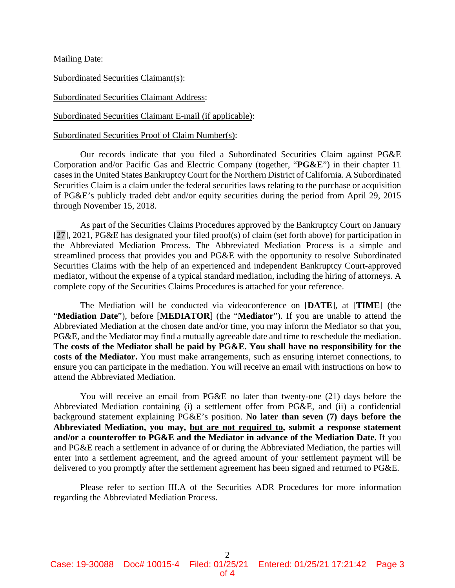Mailing Date:

Subordinated Securities Claimant(s):

Subordinated Securities Claimant Address:

Subordinated Securities Claimant E-mail (if applicable):

Subordinated Securities Proof of Claim Number(s):

Our records indicate that you filed a Subordinated Securities Claim against PG&E Corporation and/or Pacific Gas and Electric Company (together, "**PG&E**") in their chapter 11 cases in the United States Bankruptcy Court for the Northern District of California. A Subordinated Securities Claim is a claim under the federal securities laws relating to the purchase or acquisition of PG&E's publicly traded debt and/or equity securities during the period from April 29, 2015 through November 15, 2018.

As part of the Securities Claims Procedures approved by the Bankruptcy Court on January [27], 2021, PG&E has designated your filed proof(s) of claim (set forth above) for participation in the Abbreviated Mediation Process. The Abbreviated Mediation Process is a simple and streamlined process that provides you and PG&E with the opportunity to resolve Subordinated Securities Claims with the help of an experienced and independent Bankruptcy Court-approved mediator, without the expense of a typical standard mediation, including the hiring of attorneys. A complete copy of the Securities Claims Procedures is attached for your reference.

The Mediation will be conducted via videoconference on [**DATE**], at [**TIME**] (the "**Mediation Date**"), before [**MEDIATOR**] (the "**Mediator**"). If you are unable to attend the Abbreviated Mediation at the chosen date and/or time, you may inform the Mediator so that you, PG&E, and the Mediator may find a mutually agreeable date and time to reschedule the mediation. **The costs of the Mediator shall be paid by PG&E. You shall have no responsibility for the costs of the Mediator.** You must make arrangements, such as ensuring internet connections, to ensure you can participate in the mediation. You will receive an email with instructions on how to attend the Abbreviated Mediation.

You will receive an email from PG&E no later than twenty-one (21) days before the Abbreviated Mediation containing (i) a settlement offer from PG&E, and (ii) a confidential background statement explaining PG&E's position. **No later than seven (7) days before the Abbreviated Mediation, you may, but are not required to, submit a response statement and/or a counteroffer to PG&E and the Mediator in advance of the Mediation Date.** If you and PG&E reach a settlement in advance of or during the Abbreviated Mediation, the parties will enter into a settlement agreement, and the agreed amount of your settlement payment will be delivered to you promptly after the settlement agreement has been signed and returned to PG&E.

Please refer to section III.A of the Securities ADR Procedures for more information regarding the Abbreviated Mediation Process.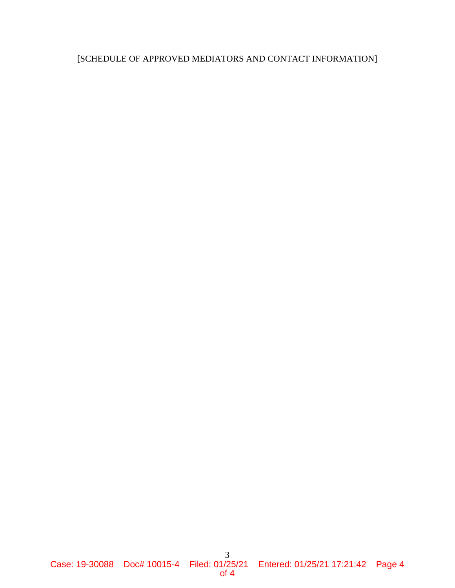# [SCHEDULE OF APPROVED MEDIATORS AND CONTACT INFORMATION]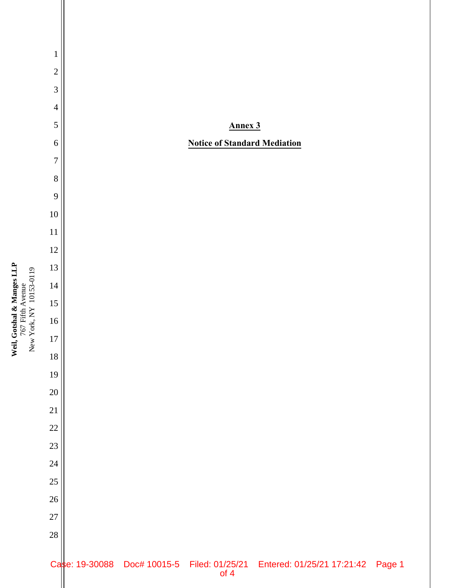

Weil, Gotshal & Manges LLP<br>767 Fifth Avenue<br>New York, NY 10153-0119 **Weil, Gotshal & Manges LLP** New York, NY 10153-0119 767 Fifth Avenue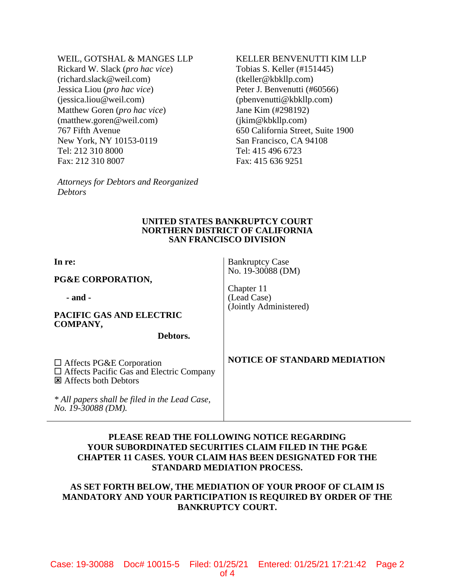WEIL, GOTSHAL & MANGES LLP

Rickard W. Slack (*pro hac vice*) (richard.slack@weil.com) Jessica Liou (*pro hac vice*) (jessica.liou@weil.com) Matthew Goren (*pro hac vice*) (matthew.goren@weil.com) 767 Fifth Avenue New York, NY 10153-0119 Tel: 212 310 8000 Fax: 212 310 8007

*Attorneys for Debtors and Reorganized Debtors* 

# KELLER BENVENUTTI KIM LLP Tobias S. Keller (#151445)

(tkeller@kbkllp.com) Peter J. Benvenutti (#60566) (pbenvenutti@kbkllp.com) Jane Kim (#298192) (jkim@kbkllp.com) 650 California Street, Suite 1900 San Francisco, CA 94108 Tel: 415 496 6723 Fax: 415 636 9251

#### **UNITED STATES BANKRUPTCY COURT NORTHERN DISTRICT OF CALIFORNIA SAN FRANCISCO DIVISION**

Bankruptcy Case No. 19-30088 (DM)

(Jointly Administered)

Chapter 11 (Lead Case)

**In re:** 

**PG&E CORPORATION,**

**- and -**

**PACIFIC GAS AND ELECTRIC COMPANY,**

**Debtors.**

□ Affects PG&E Corporation Affects Pacific Gas and Electric Company **E** Affects both Debtors

*\* All papers shall be filed in the Lead Case, No. 19-30088 (DM).*

# **NOTICE OF STANDARD MEDIATION**

# **PLEASE READ THE FOLLOWING NOTICE REGARDING YOUR SUBORDINATED SECURITIES CLAIM FILED IN THE PG&E CHAPTER 11 CASES. YOUR CLAIM HAS BEEN DESIGNATED FOR THE STANDARD MEDIATION PROCESS.**

# **AS SET FORTH BELOW, THE MEDIATION OF YOUR PROOF OF CLAIM IS MANDATORY AND YOUR PARTICIPATION IS REQUIRED BY ORDER OF THE BANKRUPTCY COURT.**

Case: 19-30088 Doc# 10015-5 Filed: 01/25/21 Entered: 01/25/21 17:21:42 Page 2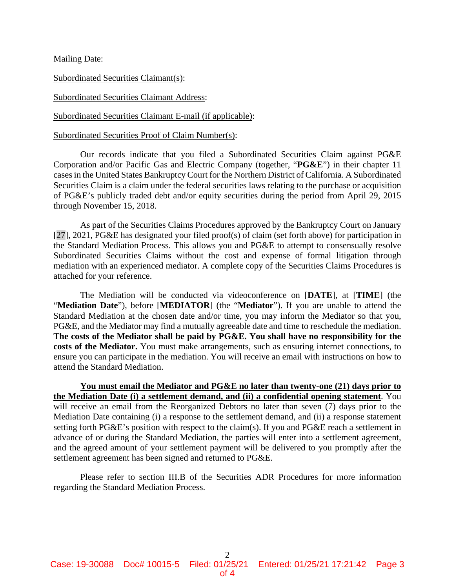Mailing Date:

Subordinated Securities Claimant(s):

Subordinated Securities Claimant Address:

Subordinated Securities Claimant E-mail (if applicable):

Subordinated Securities Proof of Claim Number(s):

Our records indicate that you filed a Subordinated Securities Claim against PG&E Corporation and/or Pacific Gas and Electric Company (together, "**PG&E**") in their chapter 11 cases in the United States Bankruptcy Court for the Northern District of California. A Subordinated Securities Claim is a claim under the federal securities laws relating to the purchase or acquisition of PG&E's publicly traded debt and/or equity securities during the period from April 29, 2015 through November 15, 2018.

As part of the Securities Claims Procedures approved by the Bankruptcy Court on January [27], 2021, PG&E has designated your filed proof(s) of claim (set forth above) for participation in the Standard Mediation Process. This allows you and PG&E to attempt to consensually resolve Subordinated Securities Claims without the cost and expense of formal litigation through mediation with an experienced mediator. A complete copy of the Securities Claims Procedures is attached for your reference.

The Mediation will be conducted via videoconference on [**DATE**], at [**TIME**] (the "**Mediation Date**"), before [**MEDIATOR**] (the "**Mediator**"). If you are unable to attend the Standard Mediation at the chosen date and/or time, you may inform the Mediator so that you, PG&E, and the Mediator may find a mutually agreeable date and time to reschedule the mediation. **The costs of the Mediator shall be paid by PG&E. You shall have no responsibility for the costs of the Mediator.** You must make arrangements, such as ensuring internet connections, to ensure you can participate in the mediation. You will receive an email with instructions on how to attend the Standard Mediation.

**You must email the Mediator and PG&E no later than twenty-one (21) days prior to the Mediation Date (i) a settlement demand, and (ii) a confidential opening statement**. You will receive an email from the Reorganized Debtors no later than seven (7) days prior to the Mediation Date containing (i) a response to the settlement demand, and (ii) a response statement setting forth PG&E's position with respect to the claim(s). If you and PG&E reach a settlement in advance of or during the Standard Mediation, the parties will enter into a settlement agreement, and the agreed amount of your settlement payment will be delivered to you promptly after the settlement agreement has been signed and returned to PG&E.

Please refer to section III.B of the Securities ADR Procedures for more information regarding the Standard Mediation Process.